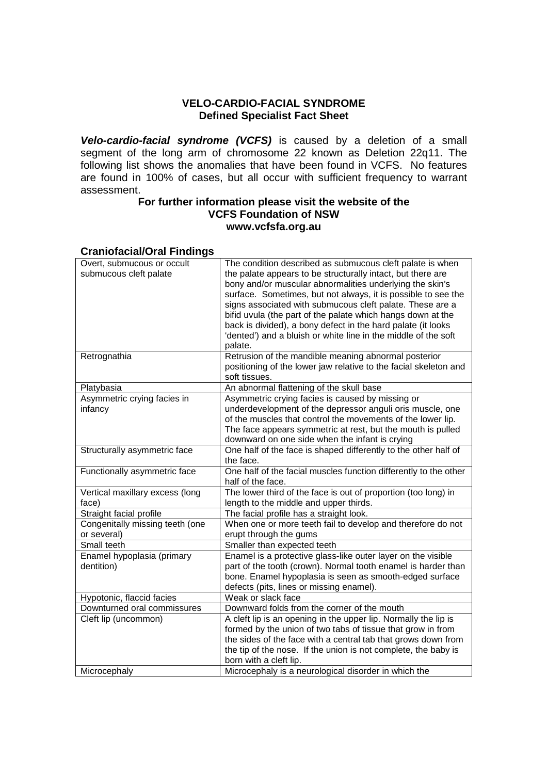### **VELO-CARDIO-FACIAL SYNDROME Defined Specialist Fact Sheet**

**Velo-cardio-facial syndrome (VCFS)** is caused by a deletion of a small segment of the long arm of chromosome 22 known as Deletion 22q11. The following list shows the anomalies that have been found in VCFS. No features are found in 100% of cases, but all occur with sufficient frequency to warrant assessment.

#### **For further information please visit the website of the VCFS Foundation of NSW www.vcfsfa.org.au**

#### **Craniofacial/Oral Findings**

| Overt, submucous or occult      | The condition described as submucous cleft palate is when        |
|---------------------------------|------------------------------------------------------------------|
| submucous cleft palate          | the palate appears to be structurally intact, but there are      |
|                                 | bony and/or muscular abnormalities underlying the skin's         |
|                                 | surface. Sometimes, but not always, it is possible to see the    |
|                                 | signs associated with submucous cleft palate. These are a        |
|                                 | bifid uvula (the part of the palate which hangs down at the      |
|                                 | back is divided), a bony defect in the hard palate (it looks     |
|                                 | 'dented') and a bluish or white line in the middle of the soft   |
|                                 | palate.                                                          |
| Retrognathia                    | Retrusion of the mandible meaning abnormal posterior             |
|                                 | positioning of the lower jaw relative to the facial skeleton and |
|                                 | soft tissues.                                                    |
| Platybasia                      | An abnormal flattening of the skull base                         |
| Asymmetric crying facies in     | Asymmetric crying facies is caused by missing or                 |
| infancy                         | underdevelopment of the depressor anguli oris muscle, one        |
|                                 | of the muscles that control the movements of the lower lip.      |
|                                 | The face appears symmetric at rest, but the mouth is pulled      |
|                                 | downward on one side when the infant is crying                   |
| Structurally asymmetric face    | One half of the face is shaped differently to the other half of  |
|                                 | the face.                                                        |
| Functionally asymmetric face    | One half of the facial muscles function differently to the other |
|                                 | half of the face.                                                |
| Vertical maxillary excess (long | The lower third of the face is out of proportion (too long) in   |
| face)                           | length to the middle and upper thirds.                           |
| Straight facial profile         | The facial profile has a straight look.                          |
| Congenitally missing teeth (one | When one or more teeth fail to develop and therefore do not      |
| or several)                     | erupt through the gums                                           |
| Small teeth                     | Smaller than expected teeth                                      |
| Enamel hypoplasia (primary      | Enamel is a protective glass-like outer layer on the visible     |
| dentition)                      | part of the tooth (crown). Normal tooth enamel is harder than    |
|                                 | bone. Enamel hypoplasia is seen as smooth-edged surface          |
|                                 | defects (pits, lines or missing enamel).                         |
| Hypotonic, flaccid facies       | Weak or slack face                                               |
| Downturned oral commissures     | Downward folds from the corner of the mouth                      |
| Cleft lip (uncommon)            | A cleft lip is an opening in the upper lip. Normally the lip is  |
|                                 | formed by the union of two tabs of tissue that grow in from      |
|                                 | the sides of the face with a central tab that grows down from    |
|                                 | the tip of the nose. If the union is not complete, the baby is   |
|                                 | born with a cleft lip.                                           |
| Microcephaly                    | Microcephaly is a neurological disorder in which the             |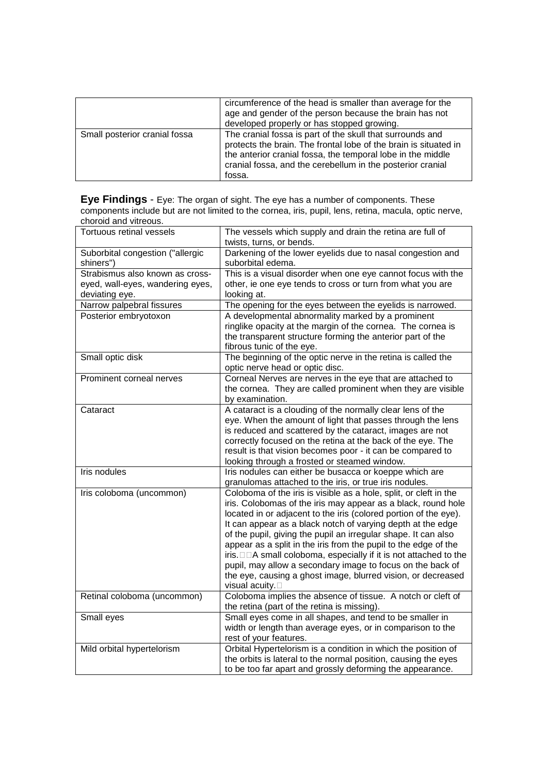|                               | circumference of the head is smaller than average for the<br>age and gender of the person because the brain has not<br>developed properly or has stopped growing.                                                                                                    |
|-------------------------------|----------------------------------------------------------------------------------------------------------------------------------------------------------------------------------------------------------------------------------------------------------------------|
| Small posterior cranial fossa | The cranial fossa is part of the skull that surrounds and<br>protects the brain. The frontal lobe of the brain is situated in<br>the anterior cranial fossa, the temporal lobe in the middle<br>cranial fossa, and the cerebellum in the posterior cranial<br>fossa. |

**Eye Findings** - Eye: The organ of sight. The eye has a number of components. These components include but are not limited to the cornea, iris, pupil, lens, retina, macula, optic nerve, choroid and vitreous.

| Tortuous retinal vessels                           | The vessels which supply and drain the retina are full of                                                                                                                                                                                                                                                                                                                                                                                                                                                                                                                                                                        |
|----------------------------------------------------|----------------------------------------------------------------------------------------------------------------------------------------------------------------------------------------------------------------------------------------------------------------------------------------------------------------------------------------------------------------------------------------------------------------------------------------------------------------------------------------------------------------------------------------------------------------------------------------------------------------------------------|
|                                                    | twists, turns, or bends.                                                                                                                                                                                                                                                                                                                                                                                                                                                                                                                                                                                                         |
| Suborbital congestion ("allergic<br>shiners")      | Darkening of the lower eyelids due to nasal congestion and<br>suborbital edema.                                                                                                                                                                                                                                                                                                                                                                                                                                                                                                                                                  |
| Strabismus also known as cross-                    | This is a visual disorder when one eye cannot focus with the                                                                                                                                                                                                                                                                                                                                                                                                                                                                                                                                                                     |
| eyed, wall-eyes, wandering eyes,<br>deviating eye. | other, ie one eye tends to cross or turn from what you are<br>looking at.                                                                                                                                                                                                                                                                                                                                                                                                                                                                                                                                                        |
| Narrow palpebral fissures                          | The opening for the eyes between the eyelids is narrowed.                                                                                                                                                                                                                                                                                                                                                                                                                                                                                                                                                                        |
| Posterior embryotoxon                              | A developmental abnormality marked by a prominent<br>ringlike opacity at the margin of the cornea. The cornea is<br>the transparent structure forming the anterior part of the<br>fibrous tunic of the eye.                                                                                                                                                                                                                                                                                                                                                                                                                      |
| Small optic disk                                   | The beginning of the optic nerve in the retina is called the<br>optic nerve head or optic disc.                                                                                                                                                                                                                                                                                                                                                                                                                                                                                                                                  |
| Prominent corneal nerves                           | Corneal Nerves are nerves in the eye that are attached to<br>the cornea. They are called prominent when they are visible<br>by examination.                                                                                                                                                                                                                                                                                                                                                                                                                                                                                      |
| Cataract                                           | A cataract is a clouding of the normally clear lens of the<br>eye. When the amount of light that passes through the lens<br>is reduced and scattered by the cataract, images are not<br>correctly focused on the retina at the back of the eye. The<br>result is that vision becomes poor - it can be compared to<br>looking through a frosted or steamed window.                                                                                                                                                                                                                                                                |
| Iris nodules                                       | Iris nodules can either be busacca or koeppe which are<br>granulomas attached to the iris, or true iris nodules.                                                                                                                                                                                                                                                                                                                                                                                                                                                                                                                 |
| Iris coloboma (uncommon)                           | Coloboma of the iris is visible as a hole, split, or cleft in the<br>iris. Colobomas of the iris may appear as a black, round hole<br>located in or adjacent to the iris (colored portion of the eye).<br>It can appear as a black notch of varying depth at the edge<br>of the pupil, giving the pupil an irregular shape. It can also<br>appear as a split in the iris from the pupil to the edge of the<br>A small coloboma, especially if it is not attached to the<br>iris.<br>pupil, may allow a secondary image to focus on the back of<br>the eye, causing a ghost image, blurred vision, or decreased<br>visual acuity. |
| Retinal coloboma (uncommon)                        | Coloboma implies the absence of tissue. A notch or cleft of<br>the retina (part of the retina is missing).                                                                                                                                                                                                                                                                                                                                                                                                                                                                                                                       |
| Small eyes                                         | Small eyes come in all shapes, and tend to be smaller in<br>width or length than average eyes, or in comparison to the<br>rest of your features.                                                                                                                                                                                                                                                                                                                                                                                                                                                                                 |
| Mild orbital hypertelorism                         | Orbital Hypertelorism is a condition in which the position of<br>the orbits is lateral to the normal position, causing the eyes<br>to be too far apart and grossly deforming the appearance.                                                                                                                                                                                                                                                                                                                                                                                                                                     |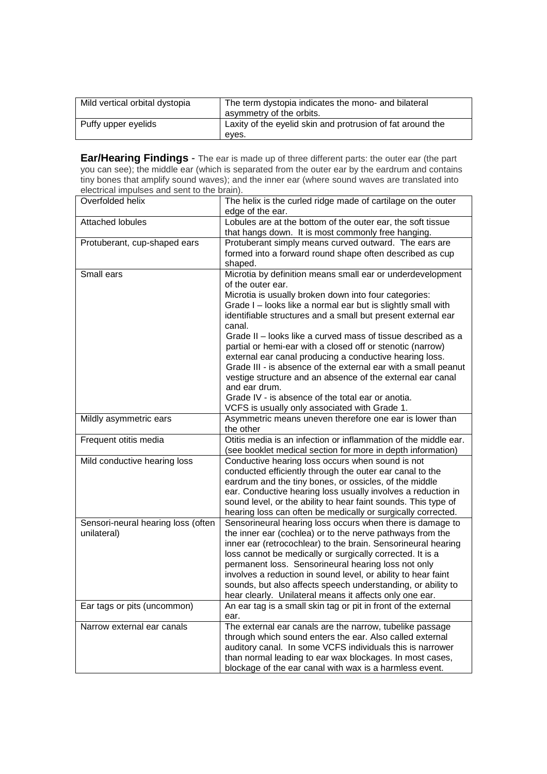| Mild vertical orbital dystopia | The term dystopia indicates the mono- and bilateral<br>asymmetry of the orbits. |
|--------------------------------|---------------------------------------------------------------------------------|
| Puffy upper eyelids            | Laxity of the eyelid skin and protrusion of fat around the<br>eves.             |

**Ear/Hearing Findings** - The ear is made up of three different parts: the outer ear (the part you can see); the middle ear (which is separated from the outer ear by the eardrum and contains tiny bones that amplify sound waves); and the inner ear (where sound waves are translated into electrical impulses and sent to the brain).

| Overfolded helix                   | The helix is the curled ridge made of cartilage on the outer<br>edge of the ear. |
|------------------------------------|----------------------------------------------------------------------------------|
| <b>Attached lobules</b>            | Lobules are at the bottom of the outer ear, the soft tissue                      |
|                                    | that hangs down. It is most commonly free hanging.                               |
| Protuberant, cup-shaped ears       | Protuberant simply means curved outward. The ears are                            |
|                                    | formed into a forward round shape often described as cup                         |
|                                    | shaped.                                                                          |
| Small ears                         | Microtia by definition means small ear or underdevelopment                       |
|                                    | of the outer ear.                                                                |
|                                    | Microtia is usually broken down into four categories:                            |
|                                    | Grade I - looks like a normal ear but is slightly small with                     |
|                                    | identifiable structures and a small but present external ear                     |
|                                    |                                                                                  |
|                                    | canal.                                                                           |
|                                    | Grade II – looks like a curved mass of tissue described as a                     |
|                                    | partial or hemi-ear with a closed off or stenotic (narrow)                       |
|                                    | external ear canal producing a conductive hearing loss.                          |
|                                    | Grade III - is absence of the external ear with a small peanut                   |
|                                    | vestige structure and an absence of the external ear canal                       |
|                                    | and ear drum.                                                                    |
|                                    | Grade IV - is absence of the total ear or anotia.                                |
|                                    | VCFS is usually only associated with Grade 1.                                    |
| Mildly asymmetric ears             | Asymmetric means uneven therefore one ear is lower than                          |
|                                    | the other                                                                        |
| Frequent otitis media              | Otitis media is an infection or inflammation of the middle ear.                  |
|                                    | (see booklet medical section for more in depth information)                      |
| Mild conductive hearing loss       | Conductive hearing loss occurs when sound is not                                 |
|                                    | conducted efficiently through the outer ear canal to the                         |
|                                    | eardrum and the tiny bones, or ossicles, of the middle                           |
|                                    | ear. Conductive hearing loss usually involves a reduction in                     |
|                                    | sound level, or the ability to hear faint sounds. This type of                   |
|                                    | hearing loss can often be medically or surgically corrected.                     |
| Sensori-neural hearing loss (often | Sensorineural hearing loss occurs when there is damage to                        |
| unilateral)                        | the inner ear (cochlea) or to the nerve pathways from the                        |
|                                    | inner ear (retrocochlear) to the brain. Sensorineural hearing                    |
|                                    | loss cannot be medically or surgically corrected. It is a                        |
|                                    | permanent loss. Sensorineural hearing loss not only                              |
|                                    |                                                                                  |
|                                    | involves a reduction in sound level, or ability to hear faint                    |
|                                    | sounds, but also affects speech understanding, or ability to                     |
|                                    | hear clearly. Unilateral means it affects only one ear.                          |
| Ear tags or pits (uncommon)        | An ear tag is a small skin tag or pit in front of the external                   |
|                                    | ear.                                                                             |
| Narrow external ear canals         | The external ear canals are the narrow, tubelike passage                         |
|                                    | through which sound enters the ear. Also called external                         |
|                                    | auditory canal. In some VCFS individuals this is narrower                        |
|                                    | than normal leading to ear wax blockages. In most cases,                         |
|                                    | blockage of the ear canal with wax is a harmless event.                          |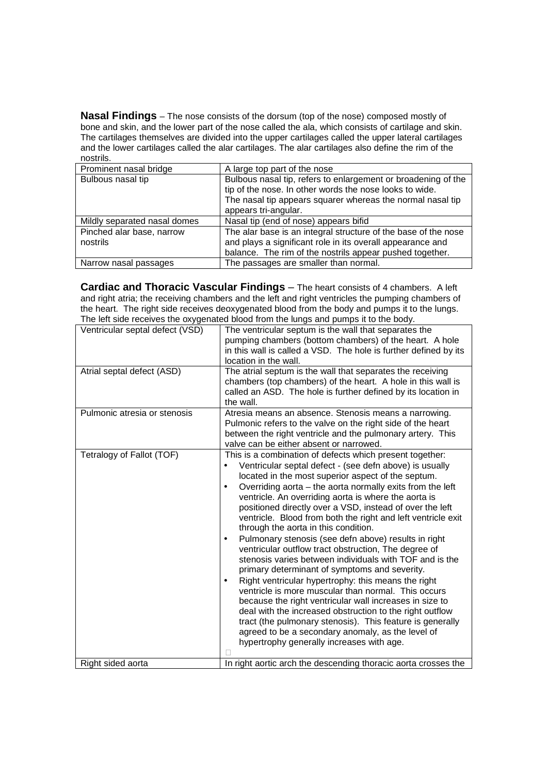**Nasal Findings** – The nose consists of the dorsum (top of the nose) composed mostly of bone and skin, and the lower part of the nose called the ala, which consists of cartilage and skin. The cartilages themselves are divided into the upper cartilages called the upper lateral cartilages and the lower cartilages called the alar cartilages. The alar cartilages also define the rim of the nostrils.

| Prominent nasal bridge                | A large top part of the nose                                                                                                                                                                                   |
|---------------------------------------|----------------------------------------------------------------------------------------------------------------------------------------------------------------------------------------------------------------|
| Bulbous nasal tip                     | Bulbous nasal tip, refers to enlargement or broadening of the<br>tip of the nose. In other words the nose looks to wide.<br>The nasal tip appears squarer whereas the normal nasal tip<br>appears tri-angular. |
| Mildly separated nasal domes          | Nasal tip (end of nose) appears bifid                                                                                                                                                                          |
| Pinched alar base, narrow<br>nostrils | The alar base is an integral structure of the base of the nose<br>and plays a significant role in its overall appearance and<br>balance. The rim of the nostrils appear pushed together.                       |
| Narrow nasal passages                 | The passages are smaller than normal.                                                                                                                                                                          |

**Cardiac and Thoracic Vascular Findings** – The heart consists of 4 chambers. A left and right atria; the receiving chambers and the left and right ventricles the pumping chambers of the heart. The right side receives deoxygenated blood from the body and pumps it to the lungs. The left side receives the oxygenated blood from the lungs and pumps it to the body.

| Ventricular septal defect (VSD) | The ventricular septum is the wall that separates the<br>pumping chambers (bottom chambers) of the heart. A hole<br>in this wall is called a VSD. The hole is further defined by its<br>location in the wall.                                                                                                                                                                                                                                                                                                                                                                                                                                                                                                                                                                                                                                                                                                                                                                                                                                                                                                                     |
|---------------------------------|-----------------------------------------------------------------------------------------------------------------------------------------------------------------------------------------------------------------------------------------------------------------------------------------------------------------------------------------------------------------------------------------------------------------------------------------------------------------------------------------------------------------------------------------------------------------------------------------------------------------------------------------------------------------------------------------------------------------------------------------------------------------------------------------------------------------------------------------------------------------------------------------------------------------------------------------------------------------------------------------------------------------------------------------------------------------------------------------------------------------------------------|
| Atrial septal defect (ASD)      | The atrial septum is the wall that separates the receiving<br>chambers (top chambers) of the heart. A hole in this wall is<br>called an ASD. The hole is further defined by its location in<br>the wall.                                                                                                                                                                                                                                                                                                                                                                                                                                                                                                                                                                                                                                                                                                                                                                                                                                                                                                                          |
| Pulmonic atresia or stenosis    | Atresia means an absence. Stenosis means a narrowing.<br>Pulmonic refers to the valve on the right side of the heart<br>between the right ventricle and the pulmonary artery. This<br>valve can be either absent or narrowed.                                                                                                                                                                                                                                                                                                                                                                                                                                                                                                                                                                                                                                                                                                                                                                                                                                                                                                     |
| Tetralogy of Fallot (TOF)       | This is a combination of defects which present together:<br>Ventricular septal defect - (see defn above) is usually<br>located in the most superior aspect of the septum.<br>Overriding aorta – the aorta normally exits from the left<br>$\bullet$<br>ventricle. An overriding aorta is where the aorta is<br>positioned directly over a VSD, instead of over the left<br>ventricle. Blood from both the right and left ventricle exit<br>through the aorta in this condition.<br>Pulmonary stenosis (see defn above) results in right<br>$\bullet$<br>ventricular outflow tract obstruction, The degree of<br>stenosis varies between individuals with TOF and is the<br>primary determinant of symptoms and severity.<br>Right ventricular hypertrophy: this means the right<br>٠<br>ventricle is more muscular than normal. This occurs<br>because the right ventricular wall increases in size to<br>deal with the increased obstruction to the right outflow<br>tract (the pulmonary stenosis). This feature is generally<br>agreed to be a secondary anomaly, as the level of<br>hypertrophy generally increases with age. |
| Right sided aorta               | In right aortic arch the descending thoracic aorta crosses the                                                                                                                                                                                                                                                                                                                                                                                                                                                                                                                                                                                                                                                                                                                                                                                                                                                                                                                                                                                                                                                                    |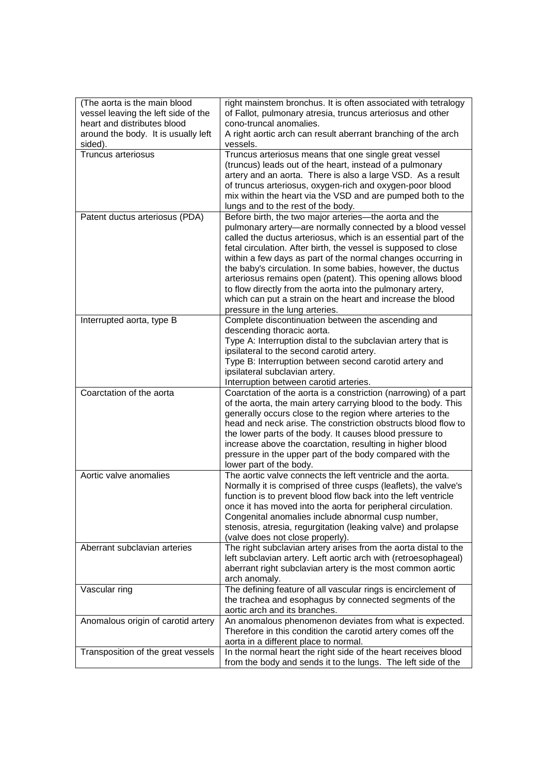| (The aorta is the main blood<br>vessel leaving the left side of the<br>heart and distributes blood<br>around the body. It is usually left | right mainstem bronchus. It is often associated with tetralogy<br>of Fallot, pulmonary atresia, truncus arteriosus and other<br>cono-truncal anomalies.<br>A right aortic arch can result aberrant branching of the arch                                                                                                                                                                                                                                                                                                                                                                                              |
|-------------------------------------------------------------------------------------------------------------------------------------------|-----------------------------------------------------------------------------------------------------------------------------------------------------------------------------------------------------------------------------------------------------------------------------------------------------------------------------------------------------------------------------------------------------------------------------------------------------------------------------------------------------------------------------------------------------------------------------------------------------------------------|
| sided).                                                                                                                                   | vessels.                                                                                                                                                                                                                                                                                                                                                                                                                                                                                                                                                                                                              |
| <b>Truncus arteriosus</b>                                                                                                                 | Truncus arteriosus means that one single great vessel<br>(truncus) leads out of the heart, instead of a pulmonary<br>artery and an aorta. There is also a large VSD. As a result<br>of truncus arteriosus, oxygen-rich and oxygen-poor blood<br>mix within the heart via the VSD and are pumped both to the<br>lungs and to the rest of the body.                                                                                                                                                                                                                                                                     |
| Patent ductus arteriosus (PDA)                                                                                                            | Before birth, the two major arteries-the aorta and the<br>pulmonary artery-are normally connected by a blood vessel<br>called the ductus arteriosus, which is an essential part of the<br>fetal circulation. After birth, the vessel is supposed to close<br>within a few days as part of the normal changes occurring in<br>the baby's circulation. In some babies, however, the ductus<br>arteriosus remains open (patent). This opening allows blood<br>to flow directly from the aorta into the pulmonary artery,<br>which can put a strain on the heart and increase the blood<br>pressure in the lung arteries. |
| Interrupted aorta, type B                                                                                                                 | Complete discontinuation between the ascending and<br>descending thoracic aorta.<br>Type A: Interruption distal to the subclavian artery that is<br>ipsilateral to the second carotid artery.<br>Type B: Interruption between second carotid artery and<br>ipsilateral subclavian artery.<br>Interruption between carotid arteries.                                                                                                                                                                                                                                                                                   |
| Coarctation of the aorta                                                                                                                  | Coarctation of the aorta is a constriction (narrowing) of a part<br>of the aorta, the main artery carrying blood to the body. This<br>generally occurs close to the region where arteries to the<br>head and neck arise. The constriction obstructs blood flow to<br>the lower parts of the body. It causes blood pressure to<br>increase above the coarctation, resulting in higher blood<br>pressure in the upper part of the body compared with the<br>lower part of the body.                                                                                                                                     |
| Aortic valve anomalies                                                                                                                    | The aortic valve connects the left ventricle and the aorta.<br>Normally it is comprised of three cusps (leaflets), the valve's<br>function is to prevent blood flow back into the left ventricle<br>once it has moved into the aorta for peripheral circulation.<br>Congenital anomalies include abnormal cusp number,<br>stenosis, atresia, regurgitation (leaking valve) and prolapse<br>(valve does not close properly).                                                                                                                                                                                           |
| Aberrant subclavian arteries                                                                                                              | The right subclavian artery arises from the aorta distal to the<br>left subclavian artery. Left aortic arch with (retroesophageal)<br>aberrant right subclavian artery is the most common aortic<br>arch anomaly.                                                                                                                                                                                                                                                                                                                                                                                                     |
| Vascular ring                                                                                                                             | The defining feature of all vascular rings is encirclement of<br>the trachea and esophagus by connected segments of the<br>aortic arch and its branches.                                                                                                                                                                                                                                                                                                                                                                                                                                                              |
| Anomalous origin of carotid artery                                                                                                        | An anomalous phenomenon deviates from what is expected.<br>Therefore in this condition the carotid artery comes off the<br>aorta in a different place to normal.                                                                                                                                                                                                                                                                                                                                                                                                                                                      |
| Transposition of the great vessels                                                                                                        | In the normal heart the right side of the heart receives blood<br>from the body and sends it to the lungs. The left side of the                                                                                                                                                                                                                                                                                                                                                                                                                                                                                       |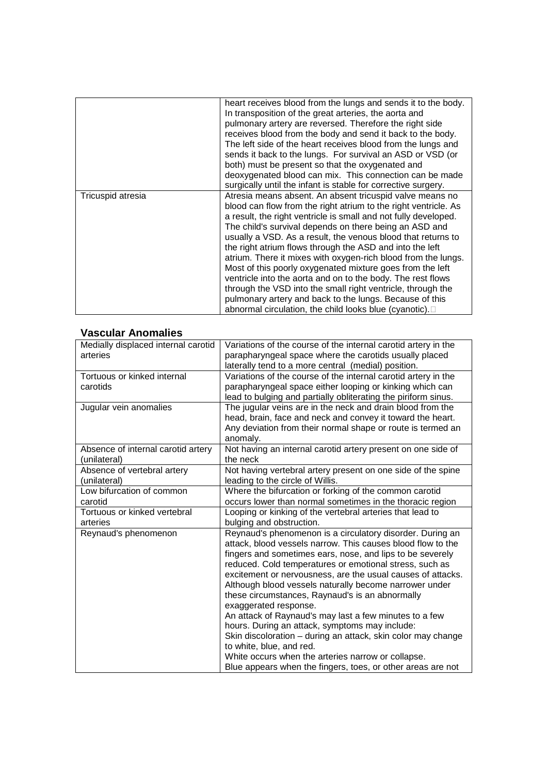|                   | heart receives blood from the lungs and sends it to the body.<br>In transposition of the great arteries, the aorta and<br>pulmonary artery are reversed. Therefore the right side<br>receives blood from the body and send it back to the body.<br>The left side of the heart receives blood from the lungs and<br>sends it back to the lungs. For survival an ASD or VSD (or<br>both) must be present so that the oxygenated and<br>deoxygenated blood can mix. This connection can be made<br>surgically until the infant is stable for corrective surgery.                                                                                                                                                                                                         |
|-------------------|-----------------------------------------------------------------------------------------------------------------------------------------------------------------------------------------------------------------------------------------------------------------------------------------------------------------------------------------------------------------------------------------------------------------------------------------------------------------------------------------------------------------------------------------------------------------------------------------------------------------------------------------------------------------------------------------------------------------------------------------------------------------------|
| Tricuspid atresia | Atresia means absent. An absent tricuspid valve means no<br>blood can flow from the right atrium to the right ventricle. As<br>a result, the right ventricle is small and not fully developed.<br>The child's survival depends on there being an ASD and<br>usually a VSD. As a result, the venous blood that returns to<br>the right atrium flows through the ASD and into the left<br>atrium. There it mixes with oxygen-rich blood from the lungs.<br>Most of this poorly oxygenated mixture goes from the left<br>ventricle into the aorta and on to the body. The rest flows<br>through the VSD into the small right ventricle, through the<br>pulmonary artery and back to the lungs. Because of this<br>abnormal circulation, the child looks blue (cyanotic). |

### **Vascular Anomalies**

| Medially displaced internal carotid | Variations of the course of the internal carotid artery in the |
|-------------------------------------|----------------------------------------------------------------|
| arteries                            | parapharyngeal space where the carotids usually placed         |
|                                     | laterally tend to a more central (medial) position.            |
| Tortuous or kinked internal         | Variations of the course of the internal carotid artery in the |
| carotids                            | parapharyngeal space either looping or kinking which can       |
|                                     | lead to bulging and partially obliterating the piriform sinus. |
| Jugular vein anomalies              | The jugular veins are in the neck and drain blood from the     |
|                                     | head, brain, face and neck and convey it toward the heart.     |
|                                     | Any deviation from their normal shape or route is termed an    |
|                                     | anomaly.                                                       |
| Absence of internal carotid artery  | Not having an internal carotid artery present on one side of   |
| (unilateral)                        | the neck                                                       |
| Absence of vertebral artery         | Not having vertebral artery present on one side of the spine   |
| (unilateral)                        | leading to the circle of Willis.                               |
| Low bifurcation of common           | Where the bifurcation or forking of the common carotid         |
| carotid                             | occurs lower than normal sometimes in the thoracic region      |
| Tortuous or kinked vertebral        | Looping or kinking of the vertebral arteries that lead to      |
| arteries                            | bulging and obstruction.                                       |
| Reynaud's phenomenon                | Reynaud's phenomenon is a circulatory disorder. During an      |
|                                     | attack, blood vessels narrow. This causes blood flow to the    |
|                                     | fingers and sometimes ears, nose, and lips to be severely      |
|                                     | reduced. Cold temperatures or emotional stress, such as        |
|                                     | excitement or nervousness, are the usual causes of attacks.    |
|                                     | Although blood vessels naturally become narrower under         |
|                                     | these circumstances, Raynaud's is an abnormally                |
|                                     | exaggerated response.                                          |
|                                     | An attack of Raynaud's may last a few minutes to a few         |
|                                     | hours. During an attack, symptoms may include:                 |
|                                     | Skin discoloration - during an attack, skin color may change   |
|                                     | to white, blue, and red.                                       |
|                                     | White occurs when the arteries narrow or collapse.             |
|                                     | Blue appears when the fingers, toes, or other areas are not    |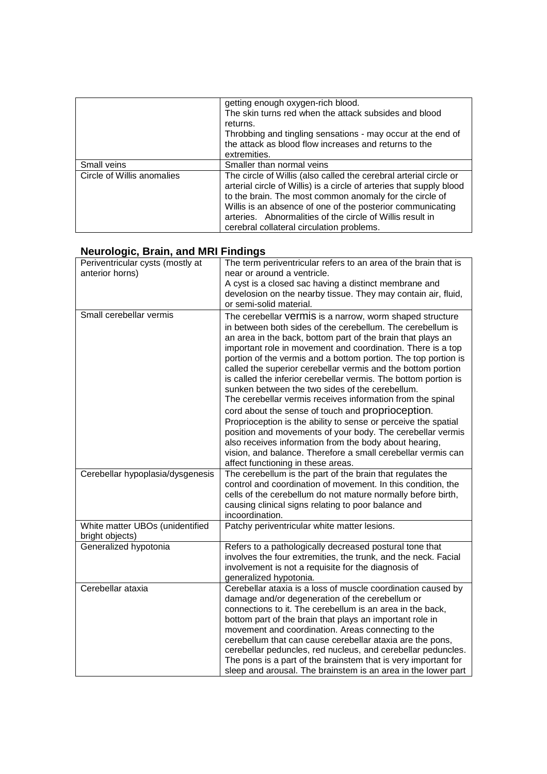|                            | getting enough oxygen-rich blood.<br>The skin turns red when the attack subsides and blood<br>returns.<br>Throbbing and tingling sensations - may occur at the end of<br>the attack as blood flow increases and returns to the<br>extremities.                                                                                                                               |
|----------------------------|------------------------------------------------------------------------------------------------------------------------------------------------------------------------------------------------------------------------------------------------------------------------------------------------------------------------------------------------------------------------------|
| Small veins                | Smaller than normal veins                                                                                                                                                                                                                                                                                                                                                    |
| Circle of Willis anomalies | The circle of Willis (also called the cerebral arterial circle or<br>arterial circle of Willis) is a circle of arteries that supply blood<br>to the brain. The most common anomaly for the circle of<br>Willis is an absence of one of the posterior communicating<br>arteries. Abnormalities of the circle of Willis result in<br>cerebral collateral circulation problems. |

### **Neurologic, Brain, and MRI Findings**

| Periventricular cysts (mostly at<br>anterior horns) | The term periventricular refers to an area of the brain that is<br>near or around a ventricle.                                                                                                                                                                                                                                                                                                                                                                                                                                                                                                                                                                                                                                                                                                                                                                                                                                  |
|-----------------------------------------------------|---------------------------------------------------------------------------------------------------------------------------------------------------------------------------------------------------------------------------------------------------------------------------------------------------------------------------------------------------------------------------------------------------------------------------------------------------------------------------------------------------------------------------------------------------------------------------------------------------------------------------------------------------------------------------------------------------------------------------------------------------------------------------------------------------------------------------------------------------------------------------------------------------------------------------------|
|                                                     | A cyst is a closed sac having a distinct membrane and<br>develosion on the nearby tissue. They may contain air, fluid,<br>or semi-solid material.                                                                                                                                                                                                                                                                                                                                                                                                                                                                                                                                                                                                                                                                                                                                                                               |
| Small cerebellar vermis                             | The cerebellar vermis is a narrow, worm shaped structure<br>in between both sides of the cerebellum. The cerebellum is<br>an area in the back, bottom part of the brain that plays an<br>important role in movement and coordination. There is a top<br>portion of the vermis and a bottom portion. The top portion is<br>called the superior cerebellar vermis and the bottom portion<br>is called the inferior cerebellar vermis. The bottom portion is<br>sunken between the two sides of the cerebellum.<br>The cerebellar vermis receives information from the spinal<br>cord about the sense of touch and proprioception.<br>Proprioception is the ability to sense or perceive the spatial<br>position and movements of your body. The cerebellar vermis<br>also receives information from the body about hearing,<br>vision, and balance. Therefore a small cerebellar vermis can<br>affect functioning in these areas. |
| Cerebellar hypoplasia/dysgenesis                    | The cerebellum is the part of the brain that regulates the<br>control and coordination of movement. In this condition, the<br>cells of the cerebellum do not mature normally before birth,<br>causing clinical signs relating to poor balance and<br>incoordination.                                                                                                                                                                                                                                                                                                                                                                                                                                                                                                                                                                                                                                                            |
| White matter UBOs (unidentified<br>bright objects)  | Patchy periventricular white matter lesions.                                                                                                                                                                                                                                                                                                                                                                                                                                                                                                                                                                                                                                                                                                                                                                                                                                                                                    |
| Generalized hypotonia                               | Refers to a pathologically decreased postural tone that<br>involves the four extremities, the trunk, and the neck. Facial<br>involvement is not a requisite for the diagnosis of<br>generalized hypotonia.                                                                                                                                                                                                                                                                                                                                                                                                                                                                                                                                                                                                                                                                                                                      |
| Cerebellar ataxia                                   | Cerebellar ataxia is a loss of muscle coordination caused by<br>damage and/or degeneration of the cerebellum or<br>connections to it. The cerebellum is an area in the back,<br>bottom part of the brain that plays an important role in<br>movement and coordination. Areas connecting to the<br>cerebellum that can cause cerebellar ataxia are the pons,<br>cerebellar peduncles, red nucleus, and cerebellar peduncles.<br>The pons is a part of the brainstem that is very important for<br>sleep and arousal. The brainstem is an area in the lower part                                                                                                                                                                                                                                                                                                                                                                  |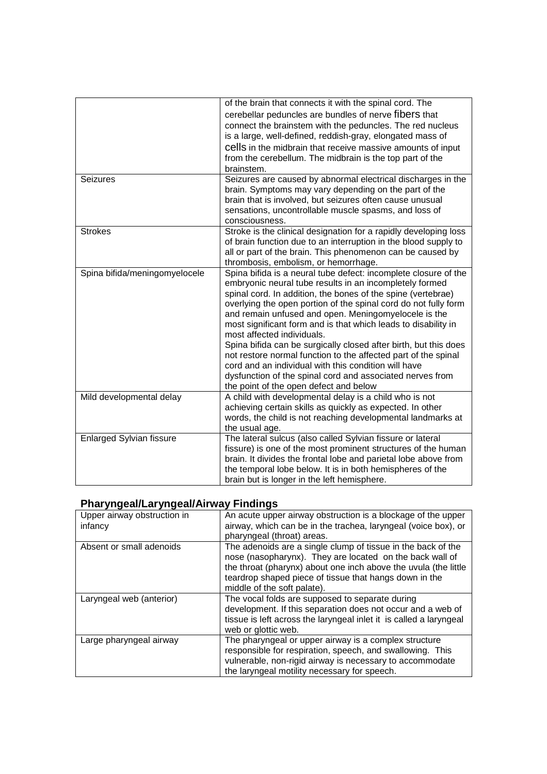|                                 | of the brain that connects it with the spinal cord. The          |
|---------------------------------|------------------------------------------------------------------|
|                                 | cerebellar peduncles are bundles of nerve fibers that            |
|                                 |                                                                  |
|                                 | connect the brainstem with the peduncles. The red nucleus        |
|                                 | is a large, well-defined, reddish-gray, elongated mass of        |
|                                 | cells in the midbrain that receive massive amounts of input      |
|                                 | from the cerebellum. The midbrain is the top part of the         |
|                                 | brainstem.                                                       |
| <b>Seizures</b>                 | Seizures are caused by abnormal electrical discharges in the     |
|                                 | brain. Symptoms may vary depending on the part of the            |
|                                 | brain that is involved, but seizures often cause unusual         |
|                                 | sensations, uncontrollable muscle spasms, and loss of            |
|                                 | consciousness.                                                   |
| <b>Strokes</b>                  | Stroke is the clinical designation for a rapidly developing loss |
|                                 | of brain function due to an interruption in the blood supply to  |
|                                 | all or part of the brain. This phenomenon can be caused by       |
|                                 | thrombosis, embolism, or hemorrhage.                             |
| Spina bifida/meningomyelocele   | Spina bifida is a neural tube defect: incomplete closure of the  |
|                                 | embryonic neural tube results in an incompletely formed          |
|                                 | spinal cord. In addition, the bones of the spine (vertebrae)     |
|                                 | overlying the open portion of the spinal cord do not fully form  |
|                                 | and remain unfused and open. Meningomyelocele is the             |
|                                 | most significant form and is that which leads to disability in   |
|                                 | most affected individuals.                                       |
|                                 | Spina bifida can be surgically closed after birth, but this does |
|                                 | not restore normal function to the affected part of the spinal   |
|                                 | cord and an individual with this condition will have             |
|                                 |                                                                  |
|                                 | dysfunction of the spinal cord and associated nerves from        |
|                                 | the point of the open defect and below                           |
| Mild developmental delay        | A child with developmental delay is a child who is not           |
|                                 | achieving certain skills as quickly as expected. In other        |
|                                 | words, the child is not reaching developmental landmarks at      |
|                                 | the usual age.                                                   |
| <b>Enlarged Sylvian fissure</b> | The lateral sulcus (also called Sylvian fissure or lateral       |
|                                 | fissure) is one of the most prominent structures of the human    |
|                                 | brain. It divides the frontal lobe and parietal lobe above from  |
|                                 | the temporal lobe below. It is in both hemispheres of the        |
|                                 | brain but is longer in the left hemisphere.                      |

### **Pharyngeal/Laryngeal/Airway Findings**

| Upper airway obstruction in<br>infancy | An acute upper airway obstruction is a blockage of the upper<br>airway, which can be in the trachea, laryngeal (voice box), or<br>pharyngeal (throat) areas.                                                                                                                         |
|----------------------------------------|--------------------------------------------------------------------------------------------------------------------------------------------------------------------------------------------------------------------------------------------------------------------------------------|
| Absent or small adenoids               | The adenoids are a single clump of tissue in the back of the<br>nose (nasopharynx). They are located on the back wall of<br>the throat (pharynx) about one inch above the uvula (the little<br>teardrop shaped piece of tissue that hangs down in the<br>middle of the soft palate). |
| Laryngeal web (anterior)               | The vocal folds are supposed to separate during<br>development. If this separation does not occur and a web of<br>tissue is left across the laryngeal inlet it is called a laryngeal<br>web or glottic web.                                                                          |
| Large pharyngeal airway                | The pharyngeal or upper airway is a complex structure<br>responsible for respiration, speech, and swallowing. This<br>vulnerable, non-rigid airway is necessary to accommodate<br>the laryngeal motility necessary for speech.                                                       |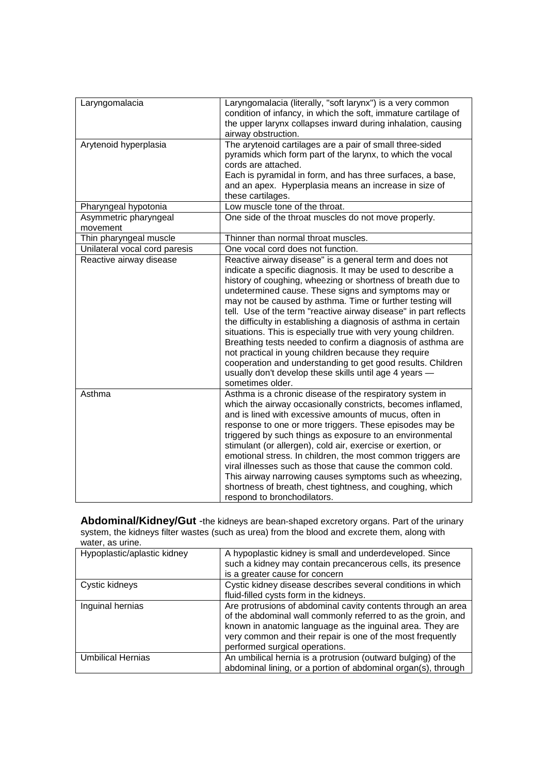| Laryngomalacia                | Laryngomalacia (literally, "soft larynx") is a very common<br>condition of infancy, in which the soft, immature cartilage of<br>the upper larynx collapses inward during inhalation, causing<br>airway obstruction. |
|-------------------------------|---------------------------------------------------------------------------------------------------------------------------------------------------------------------------------------------------------------------|
| Arytenoid hyperplasia         | The arytenoid cartilages are a pair of small three-sided                                                                                                                                                            |
|                               | pyramids which form part of the larynx, to which the vocal                                                                                                                                                          |
|                               | cords are attached.                                                                                                                                                                                                 |
|                               | Each is pyramidal in form, and has three surfaces, a base,                                                                                                                                                          |
|                               | and an apex. Hyperplasia means an increase in size of                                                                                                                                                               |
|                               | these cartilages.                                                                                                                                                                                                   |
| Pharyngeal hypotonia          | Low muscle tone of the throat.                                                                                                                                                                                      |
| Asymmetric pharyngeal         | One side of the throat muscles do not move properly.                                                                                                                                                                |
| movement                      |                                                                                                                                                                                                                     |
| Thin pharyngeal muscle        | Thinner than normal throat muscles.                                                                                                                                                                                 |
| Unilateral vocal cord paresis | One vocal cord does not function.                                                                                                                                                                                   |
| Reactive airway disease       | Reactive airway disease" is a general term and does not                                                                                                                                                             |
|                               | indicate a specific diagnosis. It may be used to describe a                                                                                                                                                         |
|                               | history of coughing, wheezing or shortness of breath due to                                                                                                                                                         |
|                               | undetermined cause. These signs and symptoms may or                                                                                                                                                                 |
|                               | may not be caused by asthma. Time or further testing will                                                                                                                                                           |
|                               | tell. Use of the term "reactive airway disease" in part reflects                                                                                                                                                    |
|                               | the difficulty in establishing a diagnosis of asthma in certain                                                                                                                                                     |
|                               | situations. This is especially true with very young children.                                                                                                                                                       |
|                               | Breathing tests needed to confirm a diagnosis of asthma are                                                                                                                                                         |
|                               | not practical in young children because they require                                                                                                                                                                |
|                               | cooperation and understanding to get good results. Children                                                                                                                                                         |
|                               | usually don't develop these skills until age 4 years -                                                                                                                                                              |
|                               | sometimes older.                                                                                                                                                                                                    |
| Asthma                        | Asthma is a chronic disease of the respiratory system in                                                                                                                                                            |
|                               | which the airway occasionally constricts, becomes inflamed,                                                                                                                                                         |
|                               | and is lined with excessive amounts of mucus, often in                                                                                                                                                              |
|                               | response to one or more triggers. These episodes may be                                                                                                                                                             |
|                               | triggered by such things as exposure to an environmental                                                                                                                                                            |
|                               | stimulant (or allergen), cold air, exercise or exertion, or                                                                                                                                                         |
|                               | emotional stress. In children, the most common triggers are                                                                                                                                                         |
|                               | viral illnesses such as those that cause the common cold.                                                                                                                                                           |
|                               | This airway narrowing causes symptoms such as wheezing,                                                                                                                                                             |
|                               | shortness of breath, chest tightness, and coughing, which                                                                                                                                                           |
|                               | respond to bronchodilators.                                                                                                                                                                                         |

**Abdominal/Kidney/Gut** -the kidneys are bean-shaped excretory organs. Part of the urinary system, the kidneys filter wastes (such as urea) from the blood and excrete them, along with water, as urine.

| $\cdots$                    |                                                                                                                                                                                                                                                                                           |
|-----------------------------|-------------------------------------------------------------------------------------------------------------------------------------------------------------------------------------------------------------------------------------------------------------------------------------------|
| Hypoplastic/aplastic kidney | A hypoplastic kidney is small and underdeveloped. Since<br>such a kidney may contain precancerous cells, its presence<br>is a greater cause for concern                                                                                                                                   |
| Cystic kidneys              | Cystic kidney disease describes several conditions in which<br>fluid-filled cysts form in the kidneys.                                                                                                                                                                                    |
| Inguinal hernias            | Are protrusions of abdominal cavity contents through an area<br>of the abdominal wall commonly referred to as the groin, and<br>known in anatomic language as the inguinal area. They are<br>very common and their repair is one of the most frequently<br>performed surgical operations. |
| <b>Umbilical Hernias</b>    | An umbilical hernia is a protrusion (outward bulging) of the<br>abdominal lining, or a portion of abdominal organ(s), through                                                                                                                                                             |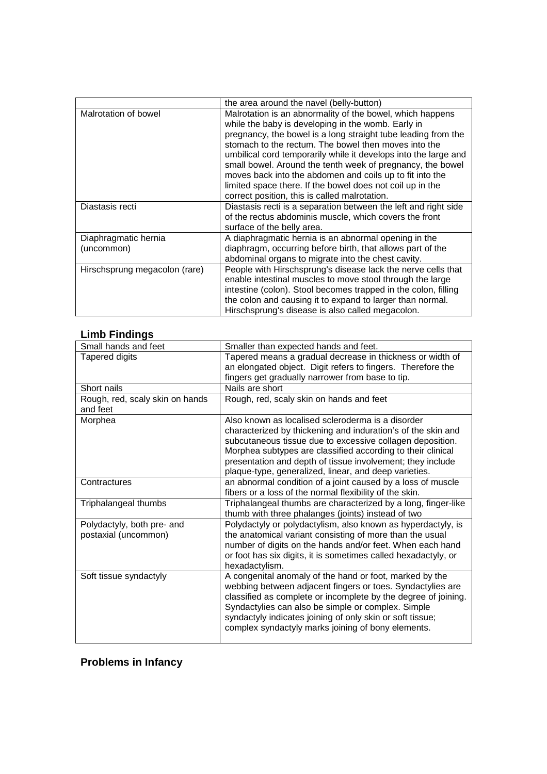|                                    | the area around the navel (belly-button)                                                                                                                                                                                                                                                                                                                                                                                                                                                                                                            |
|------------------------------------|-----------------------------------------------------------------------------------------------------------------------------------------------------------------------------------------------------------------------------------------------------------------------------------------------------------------------------------------------------------------------------------------------------------------------------------------------------------------------------------------------------------------------------------------------------|
| Malrotation of bowel               | Malrotation is an abnormality of the bowel, which happens<br>while the baby is developing in the womb. Early in<br>pregnancy, the bowel is a long straight tube leading from the<br>stomach to the rectum. The bowel then moves into the<br>umbilical cord temporarily while it develops into the large and<br>small bowel. Around the tenth week of pregnancy, the bowel<br>moves back into the abdomen and coils up to fit into the<br>limited space there. If the bowel does not coil up in the<br>correct position, this is called malrotation. |
| Diastasis recti                    | Diastasis recti is a separation between the left and right side<br>of the rectus abdominis muscle, which covers the front<br>surface of the belly area.                                                                                                                                                                                                                                                                                                                                                                                             |
| Diaphragmatic hernia<br>(uncommon) | A diaphragmatic hernia is an abnormal opening in the<br>diaphragm, occurring before birth, that allows part of the<br>abdominal organs to migrate into the chest cavity.                                                                                                                                                                                                                                                                                                                                                                            |
| Hirschsprung megacolon (rare)      | People with Hirschsprung's disease lack the nerve cells that<br>enable intestinal muscles to move stool through the large<br>intestine (colon). Stool becomes trapped in the colon, filling<br>the colon and causing it to expand to larger than normal.<br>Hirschsprung's disease is also called megacolon.                                                                                                                                                                                                                                        |

## **Limb Findings**

| Small hands and feet                               | Smaller than expected hands and feet.                                                                                                                                                                                                                                                                                                                                |
|----------------------------------------------------|----------------------------------------------------------------------------------------------------------------------------------------------------------------------------------------------------------------------------------------------------------------------------------------------------------------------------------------------------------------------|
| <b>Tapered digits</b>                              | Tapered means a gradual decrease in thickness or width of                                                                                                                                                                                                                                                                                                            |
|                                                    | an elongated object. Digit refers to fingers. Therefore the                                                                                                                                                                                                                                                                                                          |
|                                                    | fingers get gradually narrower from base to tip.                                                                                                                                                                                                                                                                                                                     |
| Short nails                                        | Nails are short                                                                                                                                                                                                                                                                                                                                                      |
| Rough, red, scaly skin on hands<br>and feet        | Rough, red, scaly skin on hands and feet                                                                                                                                                                                                                                                                                                                             |
| Morphea                                            | Also known as localised scleroderma is a disorder<br>characterized by thickening and induration's of the skin and<br>subcutaneous tissue due to excessive collagen deposition.<br>Morphea subtypes are classified according to their clinical<br>presentation and depth of tissue involvement; they include<br>plaque-type, generalized, linear, and deep varieties. |
| Contractures                                       | an abnormal condition of a joint caused by a loss of muscle<br>fibers or a loss of the normal flexibility of the skin.                                                                                                                                                                                                                                               |
| Triphalangeal thumbs                               | Triphalangeal thumbs are characterized by a long, finger-like<br>thumb with three phalanges (joints) instead of two                                                                                                                                                                                                                                                  |
| Polydactyly, both pre- and<br>postaxial (uncommon) | Polydactyly or polydactylism, also known as hyperdactyly, is<br>the anatomical variant consisting of more than the usual<br>number of digits on the hands and/or feet. When each hand<br>or foot has six digits, it is sometimes called hexadactyly, or<br>hexadactylism.                                                                                            |
| Soft tissue syndactyly                             | A congenital anomaly of the hand or foot, marked by the<br>webbing between adjacent fingers or toes. Syndactylies are<br>classified as complete or incomplete by the degree of joining.<br>Syndactylies can also be simple or complex. Simple<br>syndactyly indicates joining of only skin or soft tissue;<br>complex syndactyly marks joining of bony elements.     |

# **Problems in Infancy**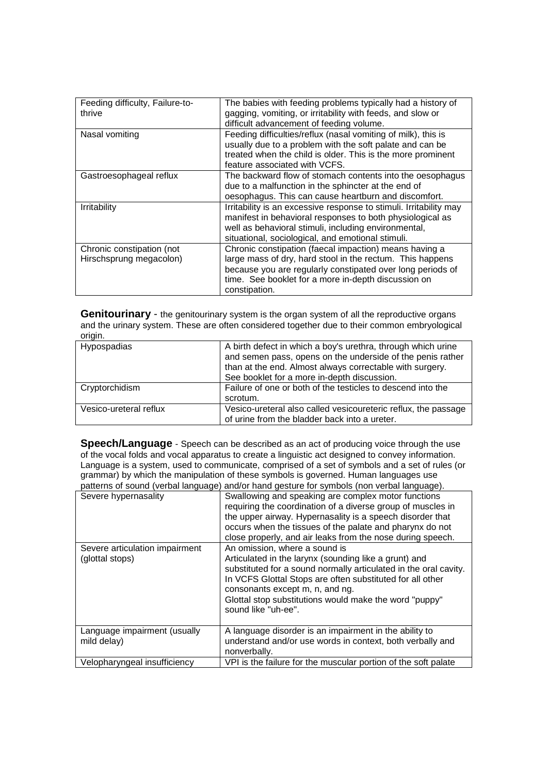| Feeding difficulty, Failure-to-<br>thrive            | The babies with feeding problems typically had a history of<br>gagging, vomiting, or irritability with feeds, and slow or<br>difficult advancement of feeding volume.                                                                                     |
|------------------------------------------------------|-----------------------------------------------------------------------------------------------------------------------------------------------------------------------------------------------------------------------------------------------------------|
| Nasal vomiting                                       | Feeding difficulties/reflux (nasal vomiting of milk), this is<br>usually due to a problem with the soft palate and can be<br>treated when the child is older. This is the more prominent<br>feature associated with VCFS.                                 |
| Gastroesophageal reflux                              | The backward flow of stomach contents into the oesophagus<br>due to a malfunction in the sphincter at the end of<br>oesophagus. This can cause heartburn and discomfort.                                                                                  |
| Irritability                                         | Irritability is an excessive response to stimuli. Irritability may<br>manifest in behavioral responses to both physiological as<br>well as behavioral stimuli, including environmental,<br>situational, sociological, and emotional stimuli.              |
| Chronic constipation (not<br>Hirschsprung megacolon) | Chronic constipation (faecal impaction) means having a<br>large mass of dry, hard stool in the rectum. This happens<br>because you are regularly constipated over long periods of<br>time. See booklet for a more in-depth discussion on<br>constipation. |

**Genitourinary** - the genitourinary system is the organ system of all the reproductive organs and the urinary system. These are often considered together due to their common embryological origin.

| Hypospadias            | A birth defect in which a boy's urethra, through which urine<br>and semen pass, opens on the underside of the penis rather<br>than at the end. Almost always correctable with surgery.<br>See booklet for a more in-depth discussion. |
|------------------------|---------------------------------------------------------------------------------------------------------------------------------------------------------------------------------------------------------------------------------------|
| Cryptorchidism         | Failure of one or both of the testicles to descend into the<br>scrotum.                                                                                                                                                               |
| Vesico-ureteral reflux | Vesico-ureteral also called vesicoureteric reflux, the passage<br>of urine from the bladder back into a ureter.                                                                                                                       |

**Speech/Language** - Speech can be described as an act of producing voice through the use of the vocal folds and vocal apparatus to create a linguistic act designed to convey information. Language is a system, used to communicate, comprised of a set of symbols and a set of rules (or grammar) by which the manipulation of these symbols is governed. Human languages use patterns of sound (verbal language) and/or hand gesture for symbols (non verbal language).

|                                                   | patterns or sound (verbar language) and/or nand gesture for symbols (non verbar language).                                                                                                                                                                                                                                                  |
|---------------------------------------------------|---------------------------------------------------------------------------------------------------------------------------------------------------------------------------------------------------------------------------------------------------------------------------------------------------------------------------------------------|
| Severe hypernasality                              | Swallowing and speaking are complex motor functions<br>requiring the coordination of a diverse group of muscles in<br>the upper airway. Hypernasality is a speech disorder that<br>occurs when the tissues of the palate and pharynx do not<br>close properly, and air leaks from the nose during speech.                                   |
| Severe articulation impairment<br>(glottal stops) | An omission, where a sound is<br>Articulated in the larynx (sounding like a grunt) and<br>substituted for a sound normally articulated in the oral cavity.<br>In VCFS Glottal Stops are often substituted for all other<br>consonants except m, n, and ng.<br>Glottal stop substitutions would make the word "puppy"<br>sound like "uh-ee". |
| Language impairment (usually<br>mild delay)       | A language disorder is an impairment in the ability to<br>understand and/or use words in context, both verbally and<br>nonverbally.                                                                                                                                                                                                         |
| Velopharyngeal insufficiency                      | VPI is the failure for the muscular portion of the soft palate                                                                                                                                                                                                                                                                              |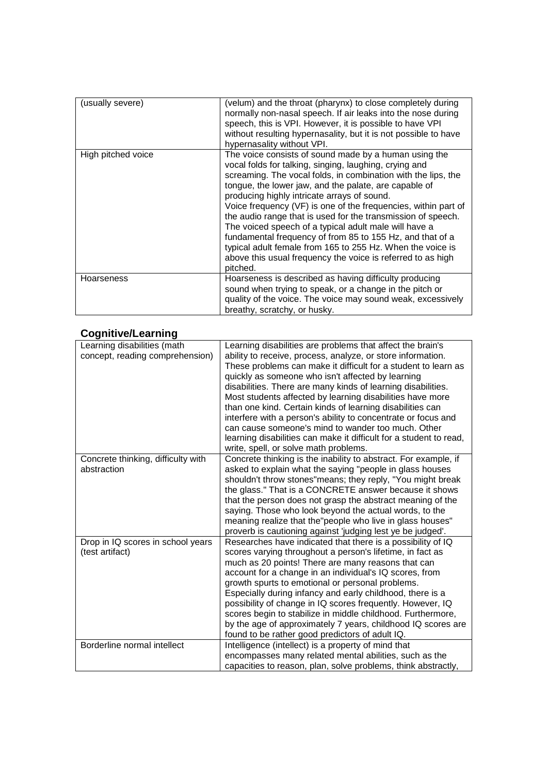| (usually severe)   | (velum) and the throat (pharynx) to close completely during<br>normally non-nasal speech. If air leaks into the nose during<br>speech, this is VPI. However, it is possible to have VPI<br>without resulting hypernasality, but it is not possible to have<br>hypernasality without VPI.                                                                                                                                                                                                                                                                                                                                                                                                  |
|--------------------|-------------------------------------------------------------------------------------------------------------------------------------------------------------------------------------------------------------------------------------------------------------------------------------------------------------------------------------------------------------------------------------------------------------------------------------------------------------------------------------------------------------------------------------------------------------------------------------------------------------------------------------------------------------------------------------------|
| High pitched voice | The voice consists of sound made by a human using the<br>vocal folds for talking, singing, laughing, crying and<br>screaming. The vocal folds, in combination with the lips, the<br>tongue, the lower jaw, and the palate, are capable of<br>producing highly intricate arrays of sound.<br>Voice frequency (VF) is one of the frequencies, within part of<br>the audio range that is used for the transmission of speech.<br>The voiced speech of a typical adult male will have a<br>fundamental frequency of from 85 to 155 Hz, and that of a<br>typical adult female from 165 to 255 Hz. When the voice is<br>above this usual frequency the voice is referred to as high<br>pitched. |
| <b>Hoarseness</b>  | Hoarseness is described as having difficulty producing<br>sound when trying to speak, or a change in the pitch or<br>quality of the voice. The voice may sound weak, excessively<br>breathy, scratchy, or husky.                                                                                                                                                                                                                                                                                                                                                                                                                                                                          |

## **Cognitive/Learning**

| Learning disabilities (math<br>concept, reading comprehension) | Learning disabilities are problems that affect the brain's<br>ability to receive, process, analyze, or store information.<br>These problems can make it difficult for a student to learn as<br>quickly as someone who isn't affected by learning<br>disabilities. There are many kinds of learning disabilities.<br>Most students affected by learning disabilities have more<br>than one kind. Certain kinds of learning disabilities can<br>interfere with a person's ability to concentrate or focus and<br>can cause someone's mind to wander too much. Other<br>learning disabilities can make it difficult for a student to read,<br>write, spell, or solve math problems. |
|----------------------------------------------------------------|----------------------------------------------------------------------------------------------------------------------------------------------------------------------------------------------------------------------------------------------------------------------------------------------------------------------------------------------------------------------------------------------------------------------------------------------------------------------------------------------------------------------------------------------------------------------------------------------------------------------------------------------------------------------------------|
| Concrete thinking, difficulty with<br>abstraction              | Concrete thinking is the inability to abstract. For example, if<br>asked to explain what the saying "people in glass houses<br>shouldn't throw stones"means; they reply, "You might break<br>the glass." That is a CONCRETE answer because it shows<br>that the person does not grasp the abstract meaning of the<br>saying. Those who look beyond the actual words, to the<br>meaning realize that the "people who live in glass houses"<br>proverb is cautioning against 'judging lest ye be judged'.                                                                                                                                                                          |
| Drop in IQ scores in school years<br>(test artifact)           | Researches have indicated that there is a possibility of IQ<br>scores varying throughout a person's lifetime, in fact as<br>much as 20 points! There are many reasons that can<br>account for a change in an individual's IQ scores, from<br>growth spurts to emotional or personal problems.<br>Especially during infancy and early childhood, there is a<br>possibility of change in IQ scores frequently. However, IQ<br>scores begin to stabilize in middle childhood. Furthermore,<br>by the age of approximately 7 years, childhood IQ scores are<br>found to be rather good predictors of adult IQ.                                                                       |
| Borderline normal intellect                                    | Intelligence (intellect) is a property of mind that<br>encompasses many related mental abilities, such as the<br>capacities to reason, plan, solve problems, think abstractly,                                                                                                                                                                                                                                                                                                                                                                                                                                                                                                   |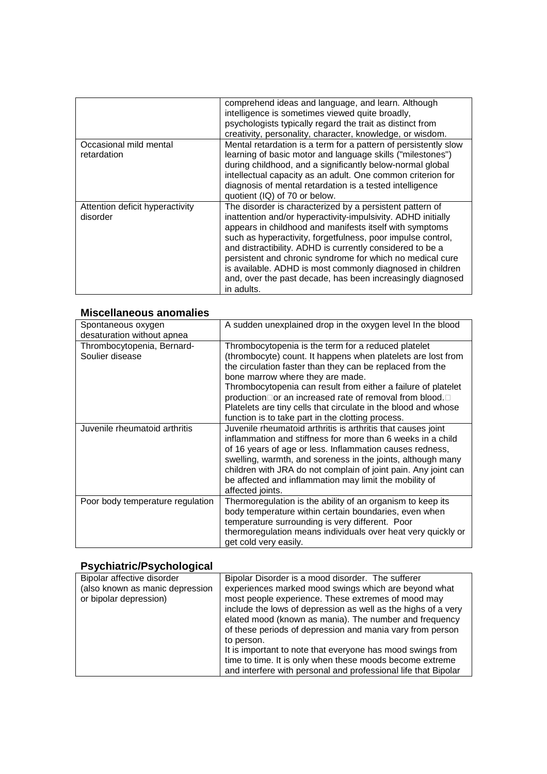|                                             | comprehend ideas and language, and learn. Although<br>intelligence is sometimes viewed quite broadly,<br>psychologists typically regard the trait as distinct from<br>creativity, personality, character, knowledge, or wisdom.                                                                                                                                                                                                                                                                                       |
|---------------------------------------------|-----------------------------------------------------------------------------------------------------------------------------------------------------------------------------------------------------------------------------------------------------------------------------------------------------------------------------------------------------------------------------------------------------------------------------------------------------------------------------------------------------------------------|
| Occasional mild mental<br>retardation       | Mental retardation is a term for a pattern of persistently slow<br>learning of basic motor and language skills ("milestones")<br>during childhood, and a significantly below-normal global<br>intellectual capacity as an adult. One common criterion for<br>diagnosis of mental retardation is a tested intelligence<br>quotient (IQ) of 70 or below.                                                                                                                                                                |
| Attention deficit hyperactivity<br>disorder | The disorder is characterized by a persistent pattern of<br>inattention and/or hyperactivity-impulsivity. ADHD initially<br>appears in childhood and manifests itself with symptoms<br>such as hyperactivity, forgetfulness, poor impulse control,<br>and distractibility. ADHD is currently considered to be a<br>persistent and chronic syndrome for which no medical cure<br>is available. ADHD is most commonly diagnosed in children<br>and, over the past decade, has been increasingly diagnosed<br>in adults. |

### **Miscellaneous anomalies**

| Spontaneous oxygen<br>desaturation without apnea | A sudden unexplained drop in the oxygen level In the blood                                                                                                                                                                                                                                                                                                                                                                                                             |
|--------------------------------------------------|------------------------------------------------------------------------------------------------------------------------------------------------------------------------------------------------------------------------------------------------------------------------------------------------------------------------------------------------------------------------------------------------------------------------------------------------------------------------|
| Thrombocytopenia, Bernard-<br>Soulier disease    | Thrombocytopenia is the term for a reduced platelet<br>(thrombocyte) count. It happens when platelets are lost from<br>the circulation faster than they can be replaced from the<br>bone marrow where they are made.<br>Thrombocytopenia can result from either a failure of platelet<br>production or an increased rate of removal from blood.<br>Platelets are tiny cells that circulate in the blood and whose<br>function is to take part in the clotting process. |
| Juvenile rheumatoid arthritis                    | Juvenile rheumatoid arthritis is arthritis that causes joint<br>inflammation and stiffness for more than 6 weeks in a child<br>of 16 years of age or less. Inflammation causes redness,<br>swelling, warmth, and soreness in the joints, although many<br>children with JRA do not complain of joint pain. Any joint can<br>be affected and inflammation may limit the mobility of<br>affected joints.                                                                 |
| Poor body temperature regulation                 | Thermoregulation is the ability of an organism to keep its<br>body temperature within certain boundaries, even when<br>temperature surrounding is very different. Poor<br>thermoregulation means individuals over heat very quickly or<br>get cold very easily.                                                                                                                                                                                                        |

# **Psychiatric/Psychological**

| Bipolar affective disorder<br>(also known as manic depression<br>or bipolar depression) | Bipolar Disorder is a mood disorder. The sufferer<br>experiences marked mood swings which are beyond what<br>most people experience. These extremes of mood may<br>include the lows of depression as well as the highs of a very |
|-----------------------------------------------------------------------------------------|----------------------------------------------------------------------------------------------------------------------------------------------------------------------------------------------------------------------------------|
|                                                                                         | elated mood (known as mania). The number and frequency<br>of these periods of depression and mania vary from person<br>to person.                                                                                                |
|                                                                                         | It is important to note that everyone has mood swings from<br>time to time. It is only when these moods become extreme<br>and interfere with personal and professional life that Bipolar                                         |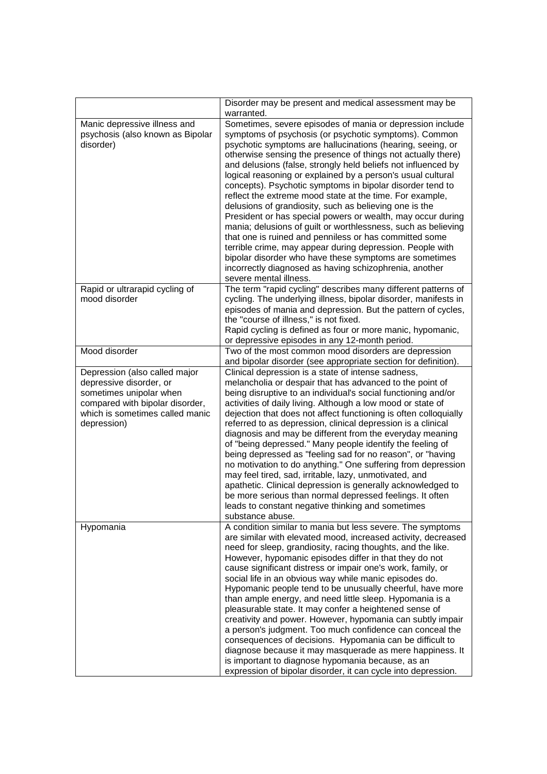|                                                                                                                                                                          | Disorder may be present and medical assessment may be<br>warranted.                                                                                                                                                                                                                                                                                                                                                                                                                                                                                                                                                                                                                                                                                                                                                                                                                                                                                                      |
|--------------------------------------------------------------------------------------------------------------------------------------------------------------------------|--------------------------------------------------------------------------------------------------------------------------------------------------------------------------------------------------------------------------------------------------------------------------------------------------------------------------------------------------------------------------------------------------------------------------------------------------------------------------------------------------------------------------------------------------------------------------------------------------------------------------------------------------------------------------------------------------------------------------------------------------------------------------------------------------------------------------------------------------------------------------------------------------------------------------------------------------------------------------|
| Manic depressive illness and<br>psychosis (also known as Bipolar<br>disorder)                                                                                            | Sometimes, severe episodes of mania or depression include<br>symptoms of psychosis (or psychotic symptoms). Common<br>psychotic symptoms are hallucinations (hearing, seeing, or<br>otherwise sensing the presence of things not actually there)<br>and delusions (false, strongly held beliefs not influenced by<br>logical reasoning or explained by a person's usual cultural<br>concepts). Psychotic symptoms in bipolar disorder tend to<br>reflect the extreme mood state at the time. For example,<br>delusions of grandiosity, such as believing one is the<br>President or has special powers or wealth, may occur during<br>mania; delusions of guilt or worthlessness, such as believing<br>that one is ruined and penniless or has committed some<br>terrible crime, may appear during depression. People with<br>bipolar disorder who have these symptoms are sometimes<br>incorrectly diagnosed as having schizophrenia, another<br>severe mental illness. |
| Rapid or ultrarapid cycling of<br>mood disorder                                                                                                                          | The term "rapid cycling" describes many different patterns of<br>cycling. The underlying illness, bipolar disorder, manifests in<br>episodes of mania and depression. But the pattern of cycles,<br>the "course of illness," is not fixed.<br>Rapid cycling is defined as four or more manic, hypomanic,<br>or depressive episodes in any 12-month period.                                                                                                                                                                                                                                                                                                                                                                                                                                                                                                                                                                                                               |
| Mood disorder                                                                                                                                                            | Two of the most common mood disorders are depression<br>and bipolar disorder (see appropriate section for definition).                                                                                                                                                                                                                                                                                                                                                                                                                                                                                                                                                                                                                                                                                                                                                                                                                                                   |
| Depression (also called major<br>depressive disorder, or<br>sometimes unipolar when<br>compared with bipolar disorder,<br>which is sometimes called manic<br>depression) | Clinical depression is a state of intense sadness,<br>melancholia or despair that has advanced to the point of<br>being disruptive to an individual's social functioning and/or<br>activities of daily living. Although a low mood or state of<br>dejection that does not affect functioning is often colloquially<br>referred to as depression, clinical depression is a clinical<br>diagnosis and may be different from the everyday meaning<br>of "being depressed." Many people identify the feeling of<br>being depressed as "feeling sad for no reason", or "having<br>no motivation to do anything." One suffering from depression<br>may feel tired, sad, irritable, lazy, unmotivated, and<br>apathetic. Clinical depression is generally acknowledged to<br>be more serious than normal depressed feelings. It often<br>leads to constant negative thinking and sometimes<br>substance abuse.                                                                  |
| Hypomania                                                                                                                                                                | A condition similar to mania but less severe. The symptoms<br>are similar with elevated mood, increased activity, decreased<br>need for sleep, grandiosity, racing thoughts, and the like.<br>However, hypomanic episodes differ in that they do not<br>cause significant distress or impair one's work, family, or<br>social life in an obvious way while manic episodes do.<br>Hypomanic people tend to be unusually cheerful, have more<br>than ample energy, and need little sleep. Hypomania is a<br>pleasurable state. It may confer a heightened sense of<br>creativity and power. However, hypomania can subtly impair<br>a person's judgment. Too much confidence can conceal the<br>consequences of decisions. Hypomania can be difficult to<br>diagnose because it may masquerade as mere happiness. It<br>is important to diagnose hypomania because, as an<br>expression of bipolar disorder, it can cycle into depression.                                 |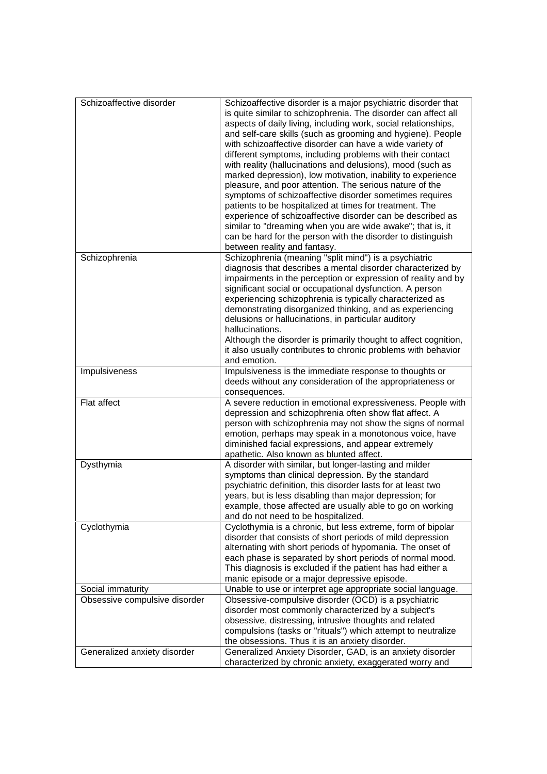| Schizoaffective disorder<br>Schizophrenia | Schizoaffective disorder is a major psychiatric disorder that<br>is quite similar to schizophrenia. The disorder can affect all<br>aspects of daily living, including work, social relationships,<br>and self-care skills (such as grooming and hygiene). People<br>with schizoaffective disorder can have a wide variety of<br>different symptoms, including problems with their contact<br>with reality (hallucinations and delusions), mood (such as<br>marked depression), low motivation, inability to experience<br>pleasure, and poor attention. The serious nature of the<br>symptoms of schizoaffective disorder sometimes requires<br>patients to be hospitalized at times for treatment. The<br>experience of schizoaffective disorder can be described as<br>similar to "dreaming when you are wide awake"; that is, it<br>can be hard for the person with the disorder to distinguish<br>between reality and fantasy.<br>Schizophrenia (meaning "split mind") is a psychiatric<br>diagnosis that describes a mental disorder characterized by |
|-------------------------------------------|------------------------------------------------------------------------------------------------------------------------------------------------------------------------------------------------------------------------------------------------------------------------------------------------------------------------------------------------------------------------------------------------------------------------------------------------------------------------------------------------------------------------------------------------------------------------------------------------------------------------------------------------------------------------------------------------------------------------------------------------------------------------------------------------------------------------------------------------------------------------------------------------------------------------------------------------------------------------------------------------------------------------------------------------------------|
|                                           | impairments in the perception or expression of reality and by<br>significant social or occupational dysfunction. A person<br>experiencing schizophrenia is typically characterized as<br>demonstrating disorganized thinking, and as experiencing<br>delusions or hallucinations, in particular auditory<br>hallucinations.                                                                                                                                                                                                                                                                                                                                                                                                                                                                                                                                                                                                                                                                                                                                |
|                                           | Although the disorder is primarily thought to affect cognition,<br>it also usually contributes to chronic problems with behavior<br>and emotion.                                                                                                                                                                                                                                                                                                                                                                                                                                                                                                                                                                                                                                                                                                                                                                                                                                                                                                           |
| Impulsiveness                             | Impulsiveness is the immediate response to thoughts or<br>deeds without any consideration of the appropriateness or<br>consequences.                                                                                                                                                                                                                                                                                                                                                                                                                                                                                                                                                                                                                                                                                                                                                                                                                                                                                                                       |
| Flat affect                               | A severe reduction in emotional expressiveness. People with<br>depression and schizophrenia often show flat affect. A<br>person with schizophrenia may not show the signs of normal<br>emotion, perhaps may speak in a monotonous voice, have<br>diminished facial expressions, and appear extremely<br>apathetic. Also known as blunted affect.                                                                                                                                                                                                                                                                                                                                                                                                                                                                                                                                                                                                                                                                                                           |
| Dysthymia                                 | A disorder with similar, but longer-lasting and milder<br>symptoms than clinical depression. By the standard<br>psychiatric definition, this disorder lasts for at least two<br>years, but is less disabling than major depression; for<br>example, those affected are usually able to go on working<br>and do not need to be hospitalized.                                                                                                                                                                                                                                                                                                                                                                                                                                                                                                                                                                                                                                                                                                                |
| Cyclothymia                               | Cyclothymia is a chronic, but less extreme, form of bipolar<br>disorder that consists of short periods of mild depression<br>alternating with short periods of hypomania. The onset of<br>each phase is separated by short periods of normal mood.<br>This diagnosis is excluded if the patient has had either a<br>manic episode or a major depressive episode.                                                                                                                                                                                                                                                                                                                                                                                                                                                                                                                                                                                                                                                                                           |
| Social immaturity                         | Unable to use or interpret age appropriate social language.                                                                                                                                                                                                                                                                                                                                                                                                                                                                                                                                                                                                                                                                                                                                                                                                                                                                                                                                                                                                |
| Obsessive compulsive disorder             | Obsessive-compulsive disorder (OCD) is a psychiatric<br>disorder most commonly characterized by a subject's<br>obsessive, distressing, intrusive thoughts and related                                                                                                                                                                                                                                                                                                                                                                                                                                                                                                                                                                                                                                                                                                                                                                                                                                                                                      |
|                                           | compulsions (tasks or "rituals") which attempt to neutralize<br>the obsessions. Thus it is an anxiety disorder.                                                                                                                                                                                                                                                                                                                                                                                                                                                                                                                                                                                                                                                                                                                                                                                                                                                                                                                                            |
| Generalized anxiety disorder              | Generalized Anxiety Disorder, GAD, is an anxiety disorder                                                                                                                                                                                                                                                                                                                                                                                                                                                                                                                                                                                                                                                                                                                                                                                                                                                                                                                                                                                                  |
|                                           | characterized by chronic anxiety, exaggerated worry and                                                                                                                                                                                                                                                                                                                                                                                                                                                                                                                                                                                                                                                                                                                                                                                                                                                                                                                                                                                                    |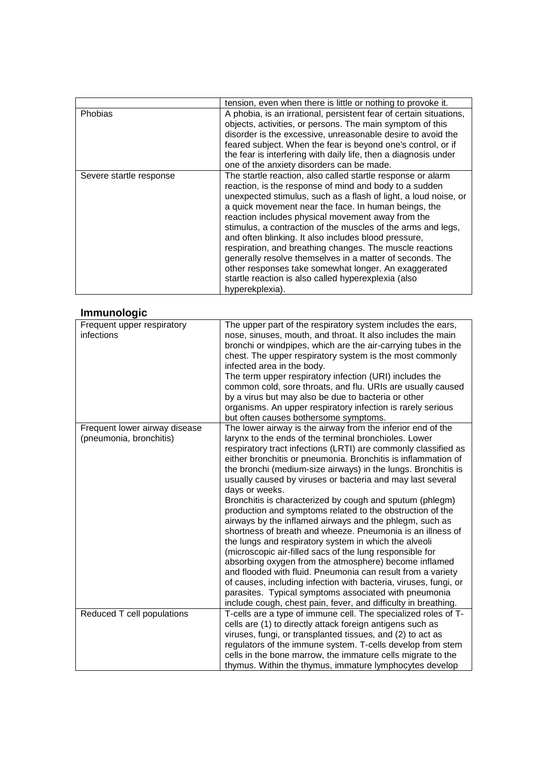|                         | tension, even when there is little or nothing to provoke it.                                                                                                                                                                                                                                                                                                                                                                                                                                                                                                                                                                                                                            |
|-------------------------|-----------------------------------------------------------------------------------------------------------------------------------------------------------------------------------------------------------------------------------------------------------------------------------------------------------------------------------------------------------------------------------------------------------------------------------------------------------------------------------------------------------------------------------------------------------------------------------------------------------------------------------------------------------------------------------------|
| <b>Phobias</b>          | A phobia, is an irrational, persistent fear of certain situations,<br>objects, activities, or persons. The main symptom of this<br>disorder is the excessive, unreasonable desire to avoid the<br>feared subject. When the fear is beyond one's control, or if<br>the fear is interfering with daily life, then a diagnosis under<br>one of the anxiety disorders can be made.                                                                                                                                                                                                                                                                                                          |
| Severe startle response | The startle reaction, also called startle response or alarm<br>reaction, is the response of mind and body to a sudden<br>unexpected stimulus, such as a flash of light, a loud noise, or<br>a quick movement near the face. In human beings, the<br>reaction includes physical movement away from the<br>stimulus, a contraction of the muscles of the arms and legs,<br>and often blinking. It also includes blood pressure,<br>respiration, and breathing changes. The muscle reactions<br>generally resolve themselves in a matter of seconds. The<br>other responses take somewhat longer. An exaggerated<br>startle reaction is also called hyperexplexia (also<br>hyperekplexia). |

### **Immunologic**

| Frequent upper respiratory<br>infections                 | The upper part of the respiratory system includes the ears,<br>nose, sinuses, mouth, and throat. It also includes the main<br>bronchi or windpipes, which are the air-carrying tubes in the<br>chest. The upper respiratory system is the most commonly<br>infected area in the body.<br>The term upper respiratory infection (URI) includes the<br>common cold, sore throats, and flu. URIs are usually caused<br>by a virus but may also be due to bacteria or other<br>organisms. An upper respiratory infection is rarely serious<br>but often causes bothersome symptoms.                                                                                                                                                                                                                                                                                                                                                                                                                                                                                                                         |
|----------------------------------------------------------|--------------------------------------------------------------------------------------------------------------------------------------------------------------------------------------------------------------------------------------------------------------------------------------------------------------------------------------------------------------------------------------------------------------------------------------------------------------------------------------------------------------------------------------------------------------------------------------------------------------------------------------------------------------------------------------------------------------------------------------------------------------------------------------------------------------------------------------------------------------------------------------------------------------------------------------------------------------------------------------------------------------------------------------------------------------------------------------------------------|
| Frequent lower airway disease<br>(pneumonia, bronchitis) | The lower airway is the airway from the inferior end of the<br>larynx to the ends of the terminal bronchioles. Lower<br>respiratory tract infections (LRTI) are commonly classified as<br>either bronchitis or pneumonia. Bronchitis is inflammation of<br>the bronchi (medium-size airways) in the lungs. Bronchitis is<br>usually caused by viruses or bacteria and may last several<br>days or weeks.<br>Bronchitis is characterized by cough and sputum (phlegm)<br>production and symptoms related to the obstruction of the<br>airways by the inflamed airways and the phlegm, such as<br>shortness of breath and wheeze. Pneumonia is an illness of<br>the lungs and respiratory system in which the alveoli<br>(microscopic air-filled sacs of the lung responsible for<br>absorbing oxygen from the atmosphere) become inflamed<br>and flooded with fluid. Pneumonia can result from a variety<br>of causes, including infection with bacteria, viruses, fungi, or<br>parasites. Typical symptoms associated with pneumonia<br>include cough, chest pain, fever, and difficulty in breathing. |
| Reduced T cell populations                               | T-cells are a type of immune cell. The specialized roles of T-<br>cells are (1) to directly attack foreign antigens such as<br>viruses, fungi, or transplanted tissues, and (2) to act as<br>regulators of the immune system. T-cells develop from stem<br>cells in the bone marrow, the immature cells migrate to the<br>thymus. Within the thymus, immature lymphocytes develop                                                                                                                                                                                                                                                                                                                                                                                                                                                                                                                                                                                                                                                                                                                      |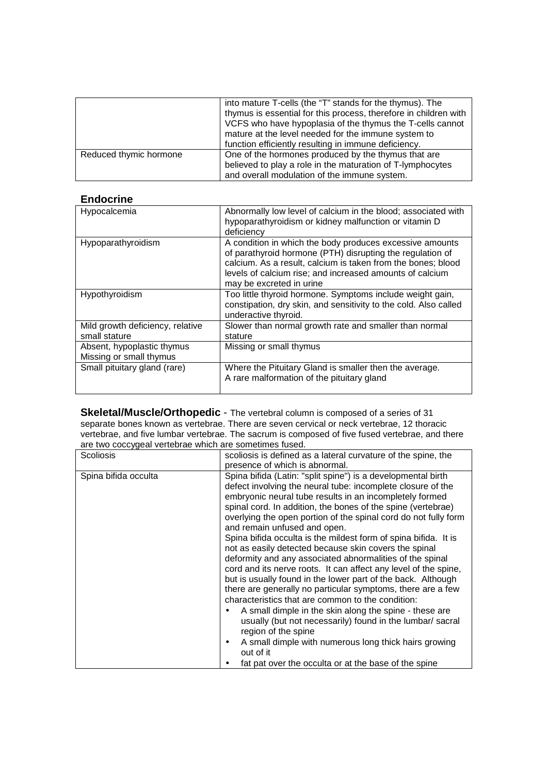|                        | into mature T-cells (the "T" stands for the thymus). The<br>thymus is essential for this process, therefore in children with<br>VCFS who have hypoplasia of the thymus the T-cells cannot<br>mature at the level needed for the immune system to<br>function efficiently resulting in immune deficiency. |
|------------------------|----------------------------------------------------------------------------------------------------------------------------------------------------------------------------------------------------------------------------------------------------------------------------------------------------------|
| Reduced thymic hormone | One of the hormones produced by the thymus that are<br>believed to play a role in the maturation of T-lymphocytes<br>and overall modulation of the immune system.                                                                                                                                        |

#### **Endocrine**

| Hypocalcemia                                          | Abnormally low level of calcium in the blood; associated with<br>hypoparathyroidism or kidney malfunction or vitamin D<br>deficiency                                                                                                                                          |
|-------------------------------------------------------|-------------------------------------------------------------------------------------------------------------------------------------------------------------------------------------------------------------------------------------------------------------------------------|
| Hypoparathyroidism                                    | A condition in which the body produces excessive amounts<br>of parathyroid hormone (PTH) disrupting the regulation of<br>calcium. As a result, calcium is taken from the bones; blood<br>levels of calcium rise; and increased amounts of calcium<br>may be excreted in urine |
| Hypothyroidism                                        | Too little thyroid hormone. Symptoms include weight gain,<br>constipation, dry skin, and sensitivity to the cold. Also called<br>underactive thyroid.                                                                                                                         |
| Mild growth deficiency, relative<br>small stature     | Slower than normal growth rate and smaller than normal<br>stature                                                                                                                                                                                                             |
| Absent, hypoplastic thymus<br>Missing or small thymus | Missing or small thymus                                                                                                                                                                                                                                                       |
| Small pituitary gland (rare)                          | Where the Pituitary Gland is smaller then the average.<br>A rare malformation of the pituitary gland                                                                                                                                                                          |

**Skeletal/Muscle/Orthopedic** - The vertebral column is composed of a series of 31 separate bones known as vertebrae. There are seven cervical or neck vertebrae, 12 thoracic vertebrae, and five lumbar vertebrae. The sacrum is composed of five fused vertebrae, and there are two coccygeal vertebrae which are sometimes fused.

| Spina bifida occulta<br>Spina bifida (Latin: "split spine") is a developmental birth<br>defect involving the neural tube: incomplete closure of the<br>embryonic neural tube results in an incompletely formed                                                                                                                                                                                                                                                                                                                                                                                                                                                                                                                                          | <b>Scoliosis</b> | scoliosis is defined as a lateral curvature of the spine, the<br>presence of which is abnormal.                                 |
|---------------------------------------------------------------------------------------------------------------------------------------------------------------------------------------------------------------------------------------------------------------------------------------------------------------------------------------------------------------------------------------------------------------------------------------------------------------------------------------------------------------------------------------------------------------------------------------------------------------------------------------------------------------------------------------------------------------------------------------------------------|------------------|---------------------------------------------------------------------------------------------------------------------------------|
| and remain unfused and open.<br>Spina bifida occulta is the mildest form of spina bifida. It is<br>not as easily detected because skin covers the spinal<br>deformity and any associated abnormalities of the spinal<br>cord and its nerve roots. It can affect any level of the spine,<br>but is usually found in the lower part of the back. Although<br>there are generally no particular symptoms, there are a few<br>characteristics that are common to the condition:<br>A small dimple in the skin along the spine - these are<br>usually (but not necessarily) found in the lumbar/ sacral<br>region of the spine<br>A small dimple with numerous long thick hairs growing<br>out of it<br>fat pat over the occulta or at the base of the spine |                  | spinal cord. In addition, the bones of the spine (vertebrae)<br>overlying the open portion of the spinal cord do not fully form |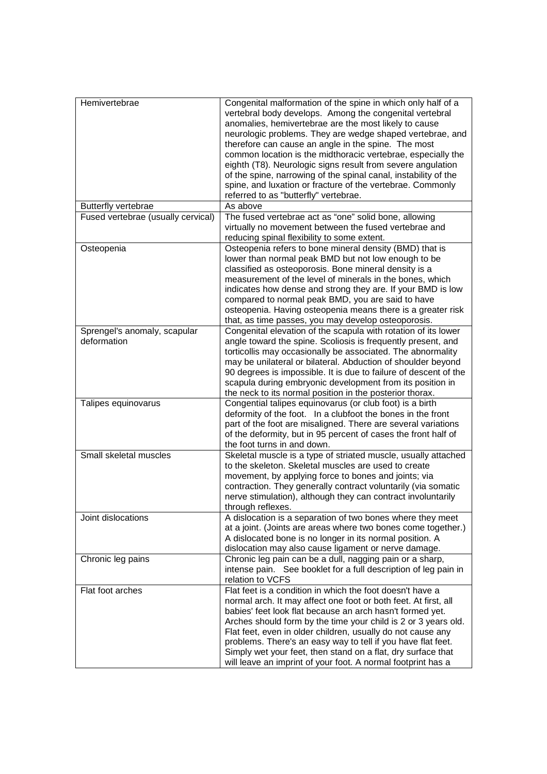| Hemivertebrae                               | Congenital malformation of the spine in which only half of a<br>vertebral body develops. Among the congenital vertebral<br>anomalies, hemivertebrae are the most likely to cause<br>neurologic problems. They are wedge shaped vertebrae, and<br>therefore can cause an angle in the spine. The most<br>common location is the midthoracic vertebrae, especially the<br>eighth (T8). Neurologic signs result from severe angulation<br>of the spine, narrowing of the spinal canal, instability of the<br>spine, and luxation or fracture of the vertebrae. Commonly<br>referred to as "butterfly" vertebrae. |
|---------------------------------------------|---------------------------------------------------------------------------------------------------------------------------------------------------------------------------------------------------------------------------------------------------------------------------------------------------------------------------------------------------------------------------------------------------------------------------------------------------------------------------------------------------------------------------------------------------------------------------------------------------------------|
| Butterfly vertebrae                         | As above                                                                                                                                                                                                                                                                                                                                                                                                                                                                                                                                                                                                      |
| Fused vertebrae (usually cervical)          | The fused vertebrae act as "one" solid bone, allowing<br>virtually no movement between the fused vertebrae and<br>reducing spinal flexibility to some extent.                                                                                                                                                                                                                                                                                                                                                                                                                                                 |
| Osteopenia                                  | Osteopenia refers to bone mineral density (BMD) that is<br>lower than normal peak BMD but not low enough to be<br>classified as osteoporosis. Bone mineral density is a<br>measurement of the level of minerals in the bones, which<br>indicates how dense and strong they are. If your BMD is low<br>compared to normal peak BMD, you are said to have<br>osteopenia. Having osteopenia means there is a greater risk<br>that, as time passes, you may develop osteoporosis.                                                                                                                                 |
| Sprengel's anomaly, scapular<br>deformation | Congenital elevation of the scapula with rotation of its lower<br>angle toward the spine. Scoliosis is frequently present, and<br>torticollis may occasionally be associated. The abnormality<br>may be unilateral or bilateral. Abduction of shoulder beyond<br>90 degrees is impossible. It is due to failure of descent of the<br>scapula during embryonic development from its position in<br>the neck to its normal position in the posterior thorax.                                                                                                                                                    |
| Talipes equinovarus                         | Congential talipes equinovarus (or club foot) is a birth<br>deformity of the foot. In a clubfoot the bones in the front<br>part of the foot are misaligned. There are several variations<br>of the deformity, but in 95 percent of cases the front half of<br>the foot turns in and down.                                                                                                                                                                                                                                                                                                                     |
| Small skeletal muscles                      | Skeletal muscle is a type of striated muscle, usually attached<br>to the skeleton. Skeletal muscles are used to create<br>movement, by applying force to bones and joints; via<br>contraction. They generally contract voluntarily (via somatic<br>nerve stimulation), although they can contract involuntarily<br>through reflexes.                                                                                                                                                                                                                                                                          |
| Joint dislocations                          | A dislocation is a separation of two bones where they meet<br>at a joint. (Joints are areas where two bones come together.)<br>A dislocated bone is no longer in its normal position. A<br>dislocation may also cause ligament or nerve damage.                                                                                                                                                                                                                                                                                                                                                               |
| Chronic leg pains                           | Chronic leg pain can be a dull, nagging pain or a sharp,<br>intense pain. See booklet for a full description of leg pain in<br>relation to VCFS                                                                                                                                                                                                                                                                                                                                                                                                                                                               |
| Flat foot arches                            | Flat feet is a condition in which the foot doesn't have a<br>normal arch. It may affect one foot or both feet. At first, all<br>babies' feet look flat because an arch hasn't formed yet.<br>Arches should form by the time your child is 2 or 3 years old.<br>Flat feet, even in older children, usually do not cause any<br>problems. There's an easy way to tell if you have flat feet.<br>Simply wet your feet, then stand on a flat, dry surface that<br>will leave an imprint of your foot. A normal footprint has a                                                                                    |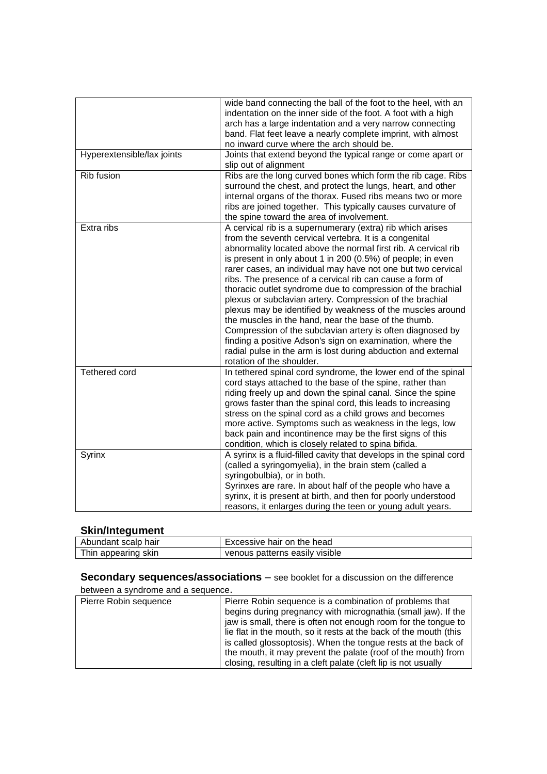|                            | wide band connecting the ball of the foot to the heel, with an<br>indentation on the inner side of the foot. A foot with a high<br>arch has a large indentation and a very narrow connecting<br>band. Flat feet leave a nearly complete imprint, with almost<br>no inward curve where the arch should be.                                                                                                                                                                                                                                                                                                                                                                                                                                                                                                                                                   |
|----------------------------|-------------------------------------------------------------------------------------------------------------------------------------------------------------------------------------------------------------------------------------------------------------------------------------------------------------------------------------------------------------------------------------------------------------------------------------------------------------------------------------------------------------------------------------------------------------------------------------------------------------------------------------------------------------------------------------------------------------------------------------------------------------------------------------------------------------------------------------------------------------|
| Hyperextensible/lax joints | Joints that extend beyond the typical range or come apart or<br>slip out of alignment                                                                                                                                                                                                                                                                                                                                                                                                                                                                                                                                                                                                                                                                                                                                                                       |
| Rib fusion                 | Ribs are the long curved bones which form the rib cage. Ribs<br>surround the chest, and protect the lungs, heart, and other<br>internal organs of the thorax. Fused ribs means two or more<br>ribs are joined together. This typically causes curvature of<br>the spine toward the area of involvement.                                                                                                                                                                                                                                                                                                                                                                                                                                                                                                                                                     |
| Extra ribs                 | A cervical rib is a supernumerary (extra) rib which arises<br>from the seventh cervical vertebra. It is a congenital<br>abnormality located above the normal first rib. A cervical rib<br>is present in only about 1 in 200 (0.5%) of people; in even<br>rarer cases, an individual may have not one but two cervical<br>ribs. The presence of a cervical rib can cause a form of<br>thoracic outlet syndrome due to compression of the brachial<br>plexus or subclavian artery. Compression of the brachial<br>plexus may be identified by weakness of the muscles around<br>the muscles in the hand, near the base of the thumb.<br>Compression of the subclavian artery is often diagnosed by<br>finding a positive Adson's sign on examination, where the<br>radial pulse in the arm is lost during abduction and external<br>rotation of the shoulder. |
| Tethered cord              | In tethered spinal cord syndrome, the lower end of the spinal<br>cord stays attached to the base of the spine, rather than<br>riding freely up and down the spinal canal. Since the spine<br>grows faster than the spinal cord, this leads to increasing<br>stress on the spinal cord as a child grows and becomes<br>more active. Symptoms such as weakness in the legs, low<br>back pain and incontinence may be the first signs of this<br>condition, which is closely related to spina bifida.                                                                                                                                                                                                                                                                                                                                                          |
| Syrinx                     | A syrinx is a fluid-filled cavity that develops in the spinal cord<br>(called a syringomyelia), in the brain stem (called a<br>syringobulbia), or in both.<br>Syrinxes are rare. In about half of the people who have a<br>syrinx, it is present at birth, and then for poorly understood<br>reasons, it enlarges during the teen or young adult years.                                                                                                                                                                                                                                                                                                                                                                                                                                                                                                     |

### **Skin/Integument**

| Abundant scalp hair | Excessive hair on the head     |
|---------------------|--------------------------------|
| Thin appearing skin | venous patterns easily visible |
|                     |                                |

**Secondary sequences/associations** – see booklet for a discussion on the difference

#### between a syndrome and a sequence.

| Pierre Robin sequence | Pierre Robin sequence is a combination of problems that           |
|-----------------------|-------------------------------------------------------------------|
|                       |                                                                   |
|                       | begins during pregnancy with micrognathia (small jaw). If the     |
|                       | jaw is small, there is often not enough room for the tongue to    |
|                       | lie flat in the mouth, so it rests at the back of the mouth (this |
|                       | is called glossoptosis). When the tongue rests at the back of     |
|                       | the mouth, it may prevent the palate (roof of the mouth) from     |
|                       | closing, resulting in a cleft palate (cleft lip is not usually    |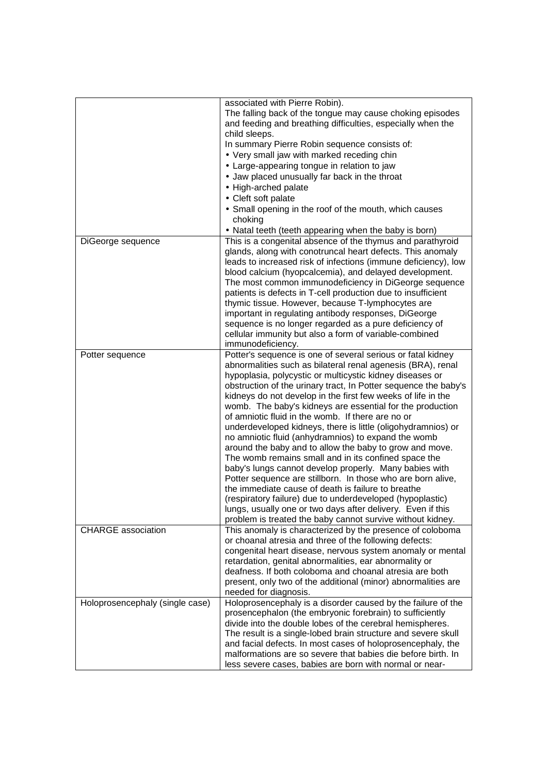|                                 | associated with Pierre Robin).<br>The falling back of the tongue may cause choking episodes<br>and feeding and breathing difficulties, especially when the<br>child sleeps.<br>In summary Pierre Robin sequence consists of:<br>• Very small jaw with marked receding chin<br>• Large-appearing tongue in relation to jaw<br>• Jaw placed unusually far back in the throat<br>• High-arched palate<br>• Cleft soft palate<br>• Small opening in the roof of the mouth, which causes<br>choking                                                                                                                                                                                                                                                                                                                                                                                                                                                                                                                                                                 |
|---------------------------------|----------------------------------------------------------------------------------------------------------------------------------------------------------------------------------------------------------------------------------------------------------------------------------------------------------------------------------------------------------------------------------------------------------------------------------------------------------------------------------------------------------------------------------------------------------------------------------------------------------------------------------------------------------------------------------------------------------------------------------------------------------------------------------------------------------------------------------------------------------------------------------------------------------------------------------------------------------------------------------------------------------------------------------------------------------------|
|                                 | • Natal teeth (teeth appearing when the baby is born)                                                                                                                                                                                                                                                                                                                                                                                                                                                                                                                                                                                                                                                                                                                                                                                                                                                                                                                                                                                                          |
| DiGeorge sequence               | This is a congenital absence of the thymus and parathyroid<br>glands, along with conotruncal heart defects. This anomaly<br>leads to increased risk of infections (immune deficiency), low<br>blood calcium (hyopcalcemia), and delayed development.<br>The most common immunodeficiency in DiGeorge sequence<br>patients is defects in T-cell production due to insufficient<br>thymic tissue. However, because T-lymphocytes are<br>important in regulating antibody responses, DiGeorge<br>sequence is no longer regarded as a pure deficiency of<br>cellular immunity but also a form of variable-combined<br>immunodeficiency.                                                                                                                                                                                                                                                                                                                                                                                                                            |
| Potter sequence                 | Potter's sequence is one of several serious or fatal kidney<br>abnormalities such as bilateral renal agenesis (BRA), renal<br>hypoplasia, polycystic or multicystic kidney diseases or<br>obstruction of the urinary tract, In Potter sequence the baby's<br>kidneys do not develop in the first few weeks of life in the<br>womb. The baby's kidneys are essential for the production<br>of amniotic fluid in the womb. If there are no or<br>underdeveloped kidneys, there is little (oligohydramnios) or<br>no amniotic fluid (anhydramnios) to expand the womb<br>around the baby and to allow the baby to grow and move.<br>The womb remains small and in its confined space the<br>baby's lungs cannot develop properly. Many babies with<br>Potter sequence are stillborn. In those who are born alive,<br>the immediate cause of death is failure to breathe<br>(respiratory failure) due to underdeveloped (hypoplastic)<br>lungs, usually one or two days after delivery. Even if this<br>problem is treated the baby cannot survive without kidney. |
| <b>CHARGE</b> association       | This anomaly is characterized by the presence of coloboma<br>or choanal atresia and three of the following defects:<br>congenital heart disease, nervous system anomaly or mental<br>retardation, genital abnormalities, ear abnormality or<br>deafness. If both coloboma and choanal atresia are both<br>present, only two of the additional (minor) abnormalities are<br>needed for diagnosis.                                                                                                                                                                                                                                                                                                                                                                                                                                                                                                                                                                                                                                                               |
| Holoprosencephaly (single case) | Holoprosencephaly is a disorder caused by the failure of the<br>prosencephalon (the embryonic forebrain) to sufficiently<br>divide into the double lobes of the cerebral hemispheres.<br>The result is a single-lobed brain structure and severe skull<br>and facial defects. In most cases of holoprosencephaly, the<br>malformations are so severe that babies die before birth. In<br>less severe cases, babies are born with normal or near-                                                                                                                                                                                                                                                                                                                                                                                                                                                                                                                                                                                                               |